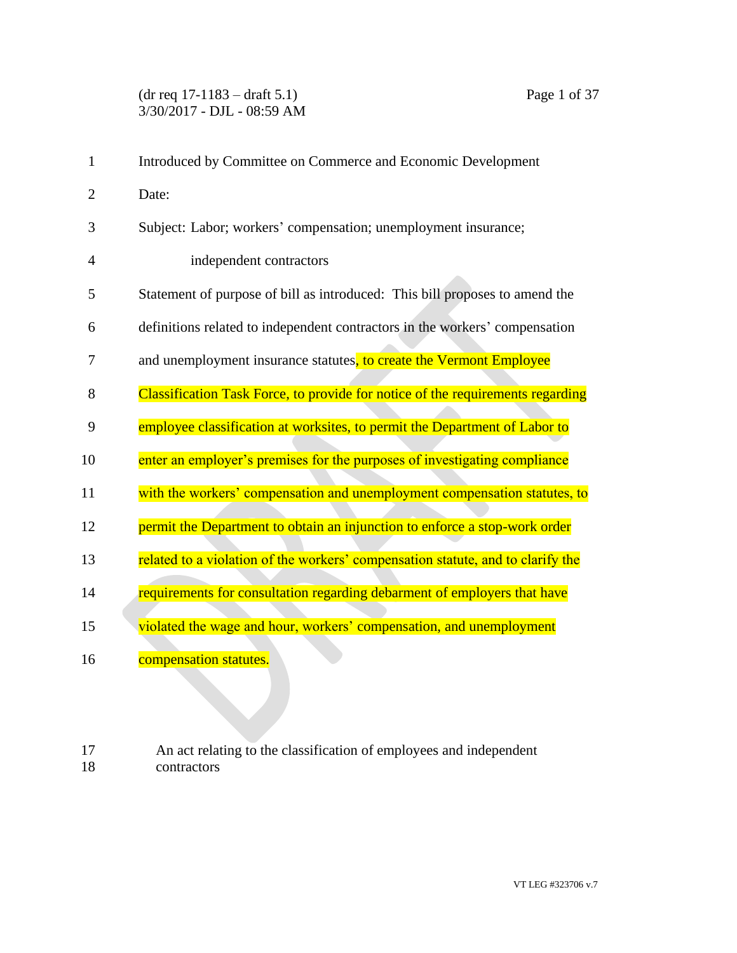(dr req 17-1183 – draft 5.1) Page 1 of 37 3/30/2017 - DJL - 08:59 AM

| $\mathbf{1}$   | Introduced by Committee on Commerce and Economic Development                    |
|----------------|---------------------------------------------------------------------------------|
| $\overline{2}$ | Date:                                                                           |
| 3              | Subject: Labor; workers' compensation; unemployment insurance;                  |
| 4              | independent contractors                                                         |
| 5              | Statement of purpose of bill as introduced: This bill proposes to amend the     |
| 6              | definitions related to independent contractors in the workers' compensation     |
| 7              | and unemployment insurance statutes, to create the Vermont Employee             |
| 8              | Classification Task Force, to provide for notice of the requirements regarding  |
| 9              | employee classification at worksites, to permit the Department of Labor to      |
| 10             | enter an employer's premises for the purposes of investigating compliance       |
| 11             | with the workers' compensation and unemployment compensation statutes, to       |
| 12             | permit the Department to obtain an injunction to enforce a stop-work order      |
| 13             | related to a violation of the workers' compensation statute, and to clarify the |
| 14             | requirements for consultation regarding debarment of employers that have        |
| 15             | violated the wage and hour, workers' compensation, and unemployment             |
| 16             | compensation statutes.                                                          |

17 An act relating to the classification of employees and independent contractors contractors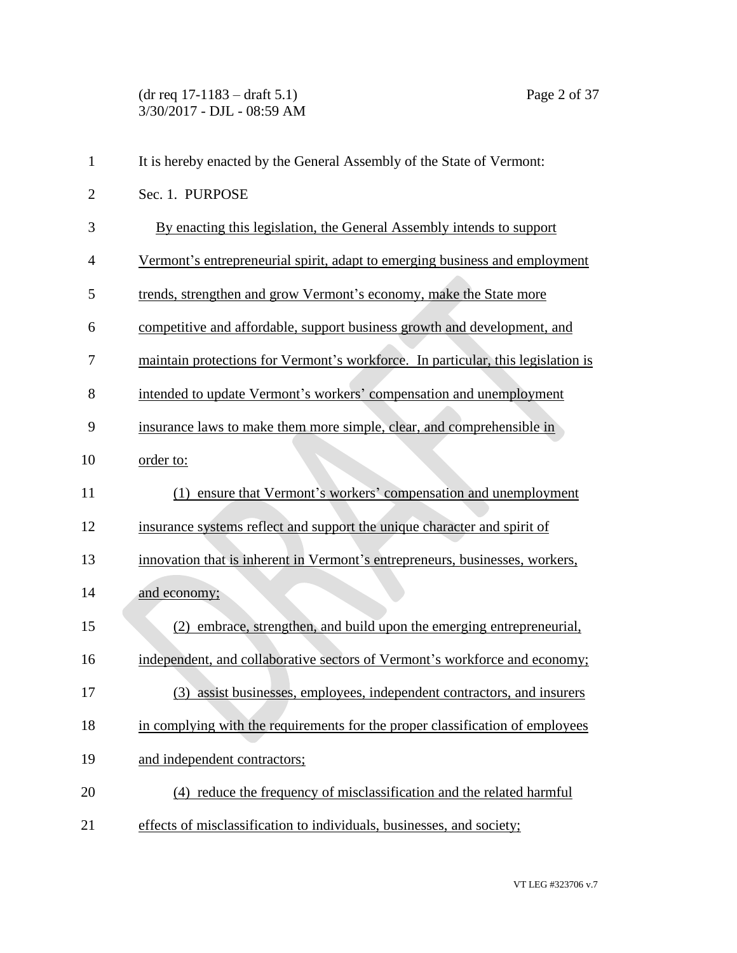(dr req 17-1183 – draft 5.1) Page 2 of 37 3/30/2017 - DJL - 08:59 AM

| $\mathbf{1}$   | It is hereby enacted by the General Assembly of the State of Vermont:            |
|----------------|----------------------------------------------------------------------------------|
| $\overline{2}$ | Sec. 1. PURPOSE                                                                  |
| 3              | By enacting this legislation, the General Assembly intends to support            |
| $\overline{4}$ | Vermont's entrepreneurial spirit, adapt to emerging business and employment      |
| 5              | trends, strengthen and grow Vermont's economy, make the State more               |
| 6              | competitive and affordable, support business growth and development, and         |
| 7              | maintain protections for Vermont's workforce. In particular, this legislation is |
| 8              | intended to update Vermont's workers' compensation and unemployment              |
| 9              | insurance laws to make them more simple, clear, and comprehensible in            |
| 10             | order to:                                                                        |
| 11             | ensure that Vermont's workers' compensation and unemployment                     |
| 12             | insurance systems reflect and support the unique character and spirit of         |
| 13             | innovation that is inherent in Vermont's entrepreneurs, businesses, workers,     |
| 14             | and economy;                                                                     |
| 15             | (2) embrace, strengthen, and build upon the emerging entrepreneurial,            |
| 16             | independent, and collaborative sectors of Vermont's workforce and economy;       |
| 17             | (3) assist businesses, employees, independent contractors, and insurers          |
| 18             | in complying with the requirements for the proper classification of employees    |
| 19             | and independent contractors;                                                     |
| 20             | (4) reduce the frequency of misclassification and the related harmful            |
| 21             | effects of misclassification to individuals, businesses, and society;            |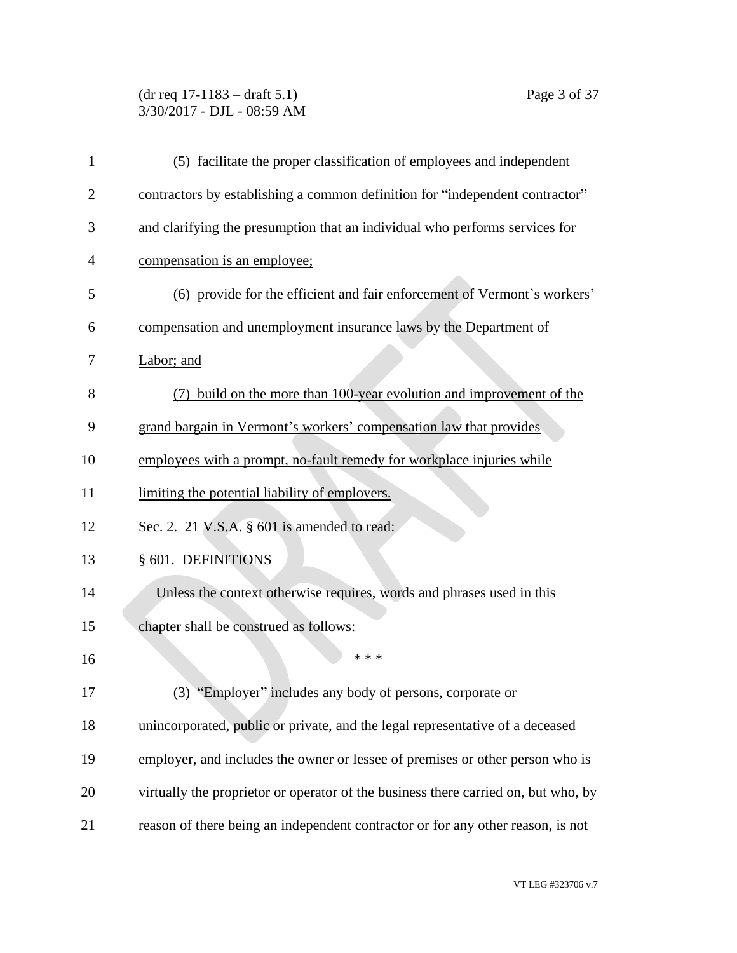(dr req 17-1183 – draft 5.1) Page 3 of 37 3/30/2017 - DJL - 08:59 AM

| $\mathbf{1}$   | (5) facilitate the proper classification of employees and independent              |
|----------------|------------------------------------------------------------------------------------|
| $\overline{2}$ | contractors by establishing a common definition for "independent contractor"       |
| 3              | and clarifying the presumption that an individual who performs services for        |
| 4              | compensation is an employee;                                                       |
| 5              | (6) provide for the efficient and fair enforcement of Vermont's workers'           |
| 6              | compensation and unemployment insurance laws by the Department of                  |
| 7              | Labor; and                                                                         |
| 8              | build on the more than 100-year evolution and improvement of the<br>(7)            |
| 9              | grand bargain in Vermont's workers' compensation law that provides                 |
| 10             | employees with a prompt, no-fault remedy for workplace injuries while              |
| 11             | limiting the potential liability of employers.                                     |
| 12             | Sec. 2. 21 V.S.A. § 601 is amended to read:                                        |
| 13             | § 601. DEFINITIONS                                                                 |
| 14             | Unless the context otherwise requires, words and phrases used in this              |
| 15             | chapter shall be construed as follows:                                             |
| 16             | * * *                                                                              |
| 17             | (3) "Employer" includes any body of persons, corporate or                          |
| 18             | unincorporated, public or private, and the legal representative of a deceased      |
| 19             | employer, and includes the owner or lessee of premises or other person who is      |
| 20             | virtually the proprietor or operator of the business there carried on, but who, by |
| 21             | reason of there being an independent contractor or for any other reason, is not    |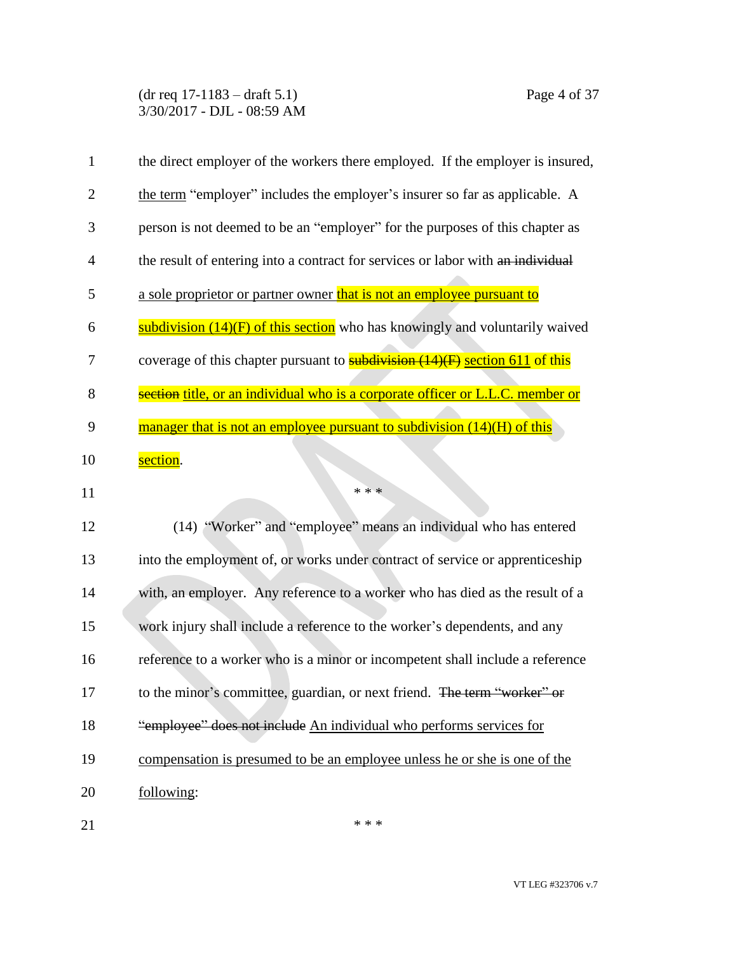(dr req 17-1183 – draft 5.1) Page 4 of 37 3/30/2017 - DJL - 08:59 AM

| 1              | the direct employer of the workers there employed. If the employer is insured,      |
|----------------|-------------------------------------------------------------------------------------|
| $\overline{2}$ | the term "employer" includes the employer's insurer so far as applicable. A         |
| 3              | person is not deemed to be an "employer" for the purposes of this chapter as        |
| 4              | the result of entering into a contract for services or labor with an individual     |
| 5              | a sole proprietor or partner owner that is not an employee pursuant to              |
| 6              | subdivision (14)(F) of this section who has knowingly and voluntarily waived        |
| 7              | coverage of this chapter pursuant to <b>subdivision</b> (14)(F) section 611 of this |
| 8              | section title, or an individual who is a corporate officer or L.L.C. member or      |
| 9              | manager that is not an employee pursuant to subdivision (14)(H) of this             |
| 10             | section.                                                                            |
| 11             | * * *                                                                               |
| 12             | (14) "Worker" and "employee" means an individual who has entered                    |
| 13             | into the employment of, or works under contract of service or apprenticeship        |
| 14             | with, an employer. Any reference to a worker who has died as the result of a        |
| 15             | work injury shall include a reference to the worker's dependents, and any           |
| 16             | reference to a worker who is a minor or incompetent shall include a reference       |
| 17             | to the minor's committee, guardian, or next friend. The term "worker" or            |
| 18             | "employee" does not include An individual who performs services for                 |
| 19             | compensation is presumed to be an employee unless he or she is one of the           |
| 20             | following:                                                                          |
| 21             | * * *                                                                               |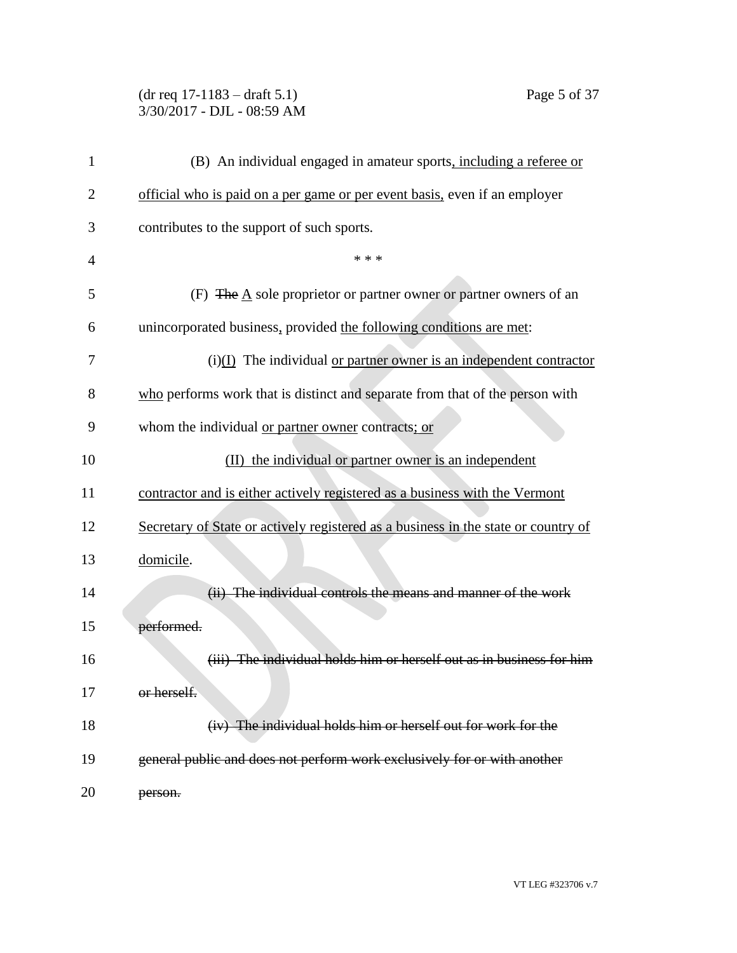# (dr req 17-1183 – draft 5.1) Page 5 of 37 3/30/2017 - DJL - 08:59 AM

| 1  | (B) An individual engaged in amateur sports, including a referee or                |
|----|------------------------------------------------------------------------------------|
| 2  | official who is paid on a per game or per event basis, even if an employer         |
| 3  | contributes to the support of such sports.                                         |
| 4  | * * *                                                                              |
| 5  | (F) The A sole proprietor or partner owner or partner owners of an                 |
| 6  | unincorporated business, provided the following conditions are met:                |
| 7  | $(i)(I)$ The individual or partner owner is an independent contractor              |
| 8  | who performs work that is distinct and separate from that of the person with       |
| 9  | whom the individual or partner owner contracts; or                                 |
| 10 | (II) the individual or partner owner is an independent                             |
| 11 | contractor and is either actively registered as a business with the Vermont        |
| 12 | Secretary of State or actively registered as a business in the state or country of |
| 13 | domicile.                                                                          |
| 14 | (ii) The individual controls the means and manner of the work                      |
| 15 | performed.                                                                         |
| 16 | (iii) The individual holds him or herself out as in business for him               |
| 17 | or herself.                                                                        |
| 18 | (iv) The individual holds him or herself out for work for the                      |
| 19 | general public and does not perform work exclusively for or with another           |
| 20 | person.                                                                            |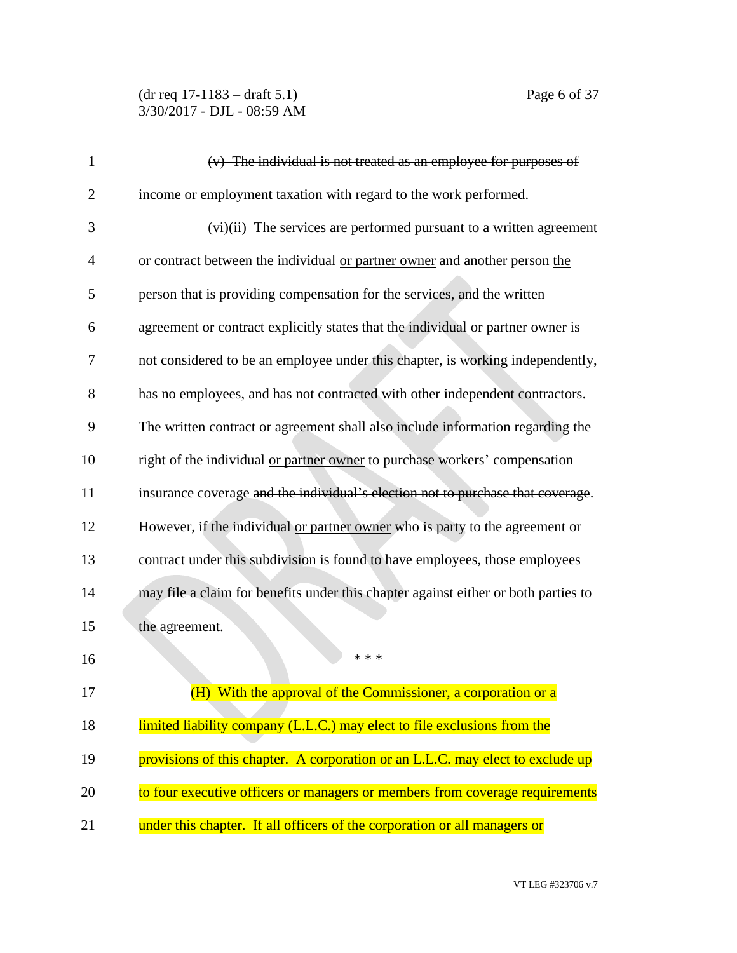(dr req 17-1183 – draft 5.1) Page 6 of 37 3/30/2017 - DJL - 08:59 AM

| $\mathbf{1}$   | (v) The individual is not treated as an employee for purposes of                   |
|----------------|------------------------------------------------------------------------------------|
| $\overline{2}$ | income or employment taxation with regard to the work performed.                   |
| 3              | $(v_i)(ii)$ The services are performed pursuant to a written agreement             |
| $\overline{4}$ | or contract between the individual or partner owner and another person the         |
| 5              | person that is providing compensation for the services, and the written            |
| 6              | agreement or contract explicitly states that the individual or partner owner is    |
| 7              | not considered to be an employee under this chapter, is working independently,     |
| 8              | has no employees, and has not contracted with other independent contractors.       |
| 9              | The written contract or agreement shall also include information regarding the     |
| 10             | right of the individual or partner owner to purchase workers' compensation         |
| 11             | insurance coverage and the individual's election not to purchase that coverage.    |
| 12             | However, if the individual or partner owner who is party to the agreement or       |
| 13             | contract under this subdivision is found to have employees, those employees        |
| 14             | may file a claim for benefits under this chapter against either or both parties to |
| 15             | the agreement.                                                                     |
| 16             | * * *                                                                              |
| 17             | (H) With the approval of the Commissioner, a corporation or a                      |
| 18             | limited liability company (L.L.C.) may elect to file exclusions from the           |
| 19             | provisions of this chapter. A corporation or an L.L.C. may elect to exclude up     |
| 20             | to four executive officers or managers or members from coverage requirements       |
| 21             | under this chapter. If all officers of the corporation or all managers or          |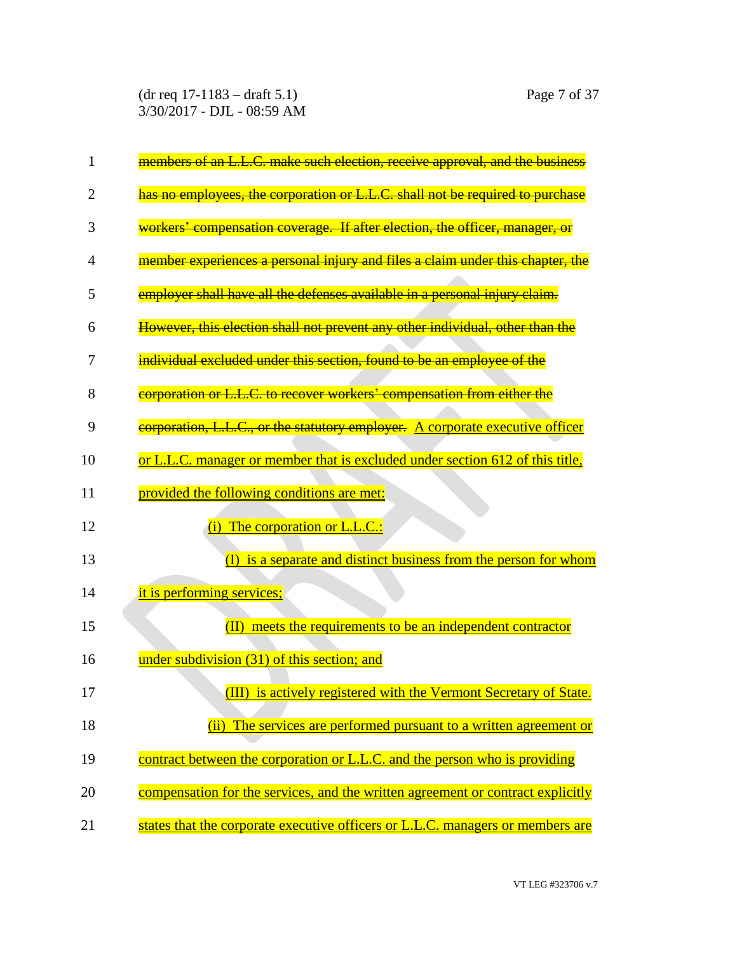(dr req 17-1183 – draft 5.1) Page 7 of 37 3/30/2017 - DJL - 08:59 AM

| 1  | members of an L.L.C. make such election, receive approval, and the business     |
|----|---------------------------------------------------------------------------------|
| 2  | has no employees, the corporation or L.L.C. shall not be required to purchase   |
| 3  | workers' compensation coverage. If after election, the officer, manager, or     |
| 4  | member experiences a personal injury and files a claim under this chapter, the  |
| 5  | employer shall have all the defenses available in a personal injury claim.      |
| 6  | However, this election shall not prevent any other individual, other than the   |
| 7  | individual excluded under this section, found to be an employee of the          |
| 8  | corporation or L.L.C. to recover workers' compensation from either the          |
| 9  | corporation, L.L.C., or the statutory employer. A corporate executive officer   |
| 10 | or L.L.C. manager or member that is excluded under section 612 of this title,   |
| 11 | provided the following conditions are met:                                      |
| 12 | (i) The corporation or L.L.C.:                                                  |
| 13 | is a separate and distinct business from the person for whom<br>$\rm(I)$        |
| 14 | it is performing services;                                                      |
| 15 | meets the requirements to be an independent contractor<br>$(\text{II})$         |
| 16 | under subdivision (31) of this section; and                                     |
| 17 | (III) is actively registered with the Vermont Secretary of State.               |
| 18 | (ii) The services are performed pursuant to a written agreement or              |
| 19 | contract between the corporation or L.L.C. and the person who is providing      |
| 20 | compensation for the services, and the written agreement or contract explicitly |
| 21 | states that the corporate executive officers or L.L.C. managers or members are  |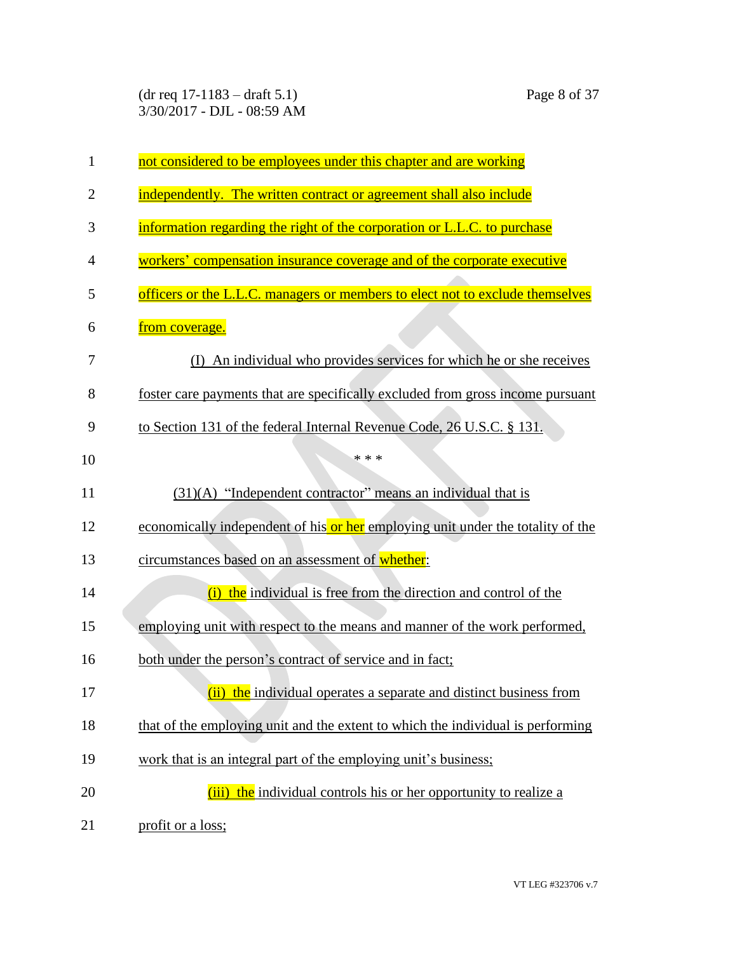(dr req 17-1183 – draft 5.1) Page 8 of 37 3/30/2017 - DJL - 08:59 AM

| $\mathbf{1}$   | not considered to be employees under this chapter and are working               |
|----------------|---------------------------------------------------------------------------------|
| $\overline{2}$ | independently. The written contract or agreement shall also include             |
| 3              | information regarding the right of the corporation or L.L.C. to purchase        |
| 4              | workers' compensation insurance coverage and of the corporate executive         |
| 5              | officers or the L.L.C. managers or members to elect not to exclude themselves   |
| 6              | from coverage.                                                                  |
| 7              | An individual who provides services for which he or she receives                |
| 8              | foster care payments that are specifically excluded from gross income pursuant  |
| 9              | to Section 131 of the federal Internal Revenue Code, 26 U.S.C. § 131.           |
| 10             | * * *                                                                           |
| 11             | $(31)(A)$ "Independent contractor" means an individual that is                  |
| 12             | economically independent of his or her employing unit under the totality of the |
| 13             | circumstances based on an assessment of whether:                                |
| 14             | the individual is free from the direction and control of the<br>(i)             |
| 15             | employing unit with respect to the means and manner of the work performed,      |
| 16             | both under the person's contract of service and in fact;                        |
| 17             | (ii) the individual operates a separate and distinct business from              |
| 18             | that of the employing unit and the extent to which the individual is performing |
| 19             | work that is an integral part of the employing unit's business;                 |
| 20             | (iii) the individual controls his or her opportunity to realize a               |
| 21             | profit or a loss;                                                               |

VT LEG #323706 v.7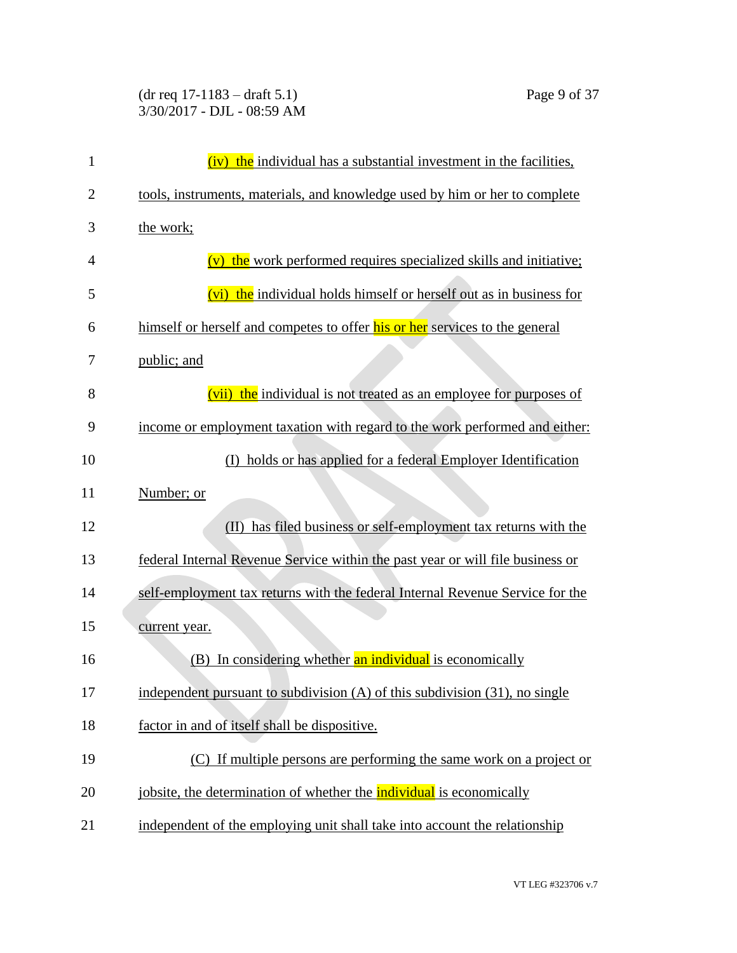### (dr req 17-1183 – draft 5.1) Page 9 of 37 3/30/2017 - DJL - 08:59 AM

| $\mathbf{1}$   | (iv) the individual has a substantial investment in the facilities,              |
|----------------|----------------------------------------------------------------------------------|
| $\overline{2}$ | tools, instruments, materials, and knowledge used by him or her to complete      |
| 3              | the work;                                                                        |
| 4              | (v) the work performed requires specialized skills and initiative;               |
| 5              | (vi) the individual holds himself or herself out as in business for              |
| 6              | himself or herself and competes to offer his or her services to the general      |
| 7              | public; and                                                                      |
| 8              | (vii) the individual is not treated as an employee for purposes of               |
| 9              | income or employment taxation with regard to the work performed and either:      |
| 10             | (I) holds or has applied for a federal Employer Identification                   |
| 11             | Number; or                                                                       |
| 12             | has filed business or self-employment tax returns with the<br>$(\mathbf{I})$     |
| 13             | federal Internal Revenue Service within the past year or will file business or   |
| 14             | self-employment tax returns with the federal Internal Revenue Service for the    |
| 15             | current year.                                                                    |
| 16             | (B) In considering whether an individual is economically                         |
| 17             | independent pursuant to subdivision $(A)$ of this subdivision $(31)$ , no single |
| 18             | factor in and of itself shall be dispositive.                                    |
| 19             | (C) If multiple persons are performing the same work on a project or             |
| 20             | jobsite, the determination of whether the <b>individual</b> is economically      |
| 21             | independent of the employing unit shall take into account the relationship       |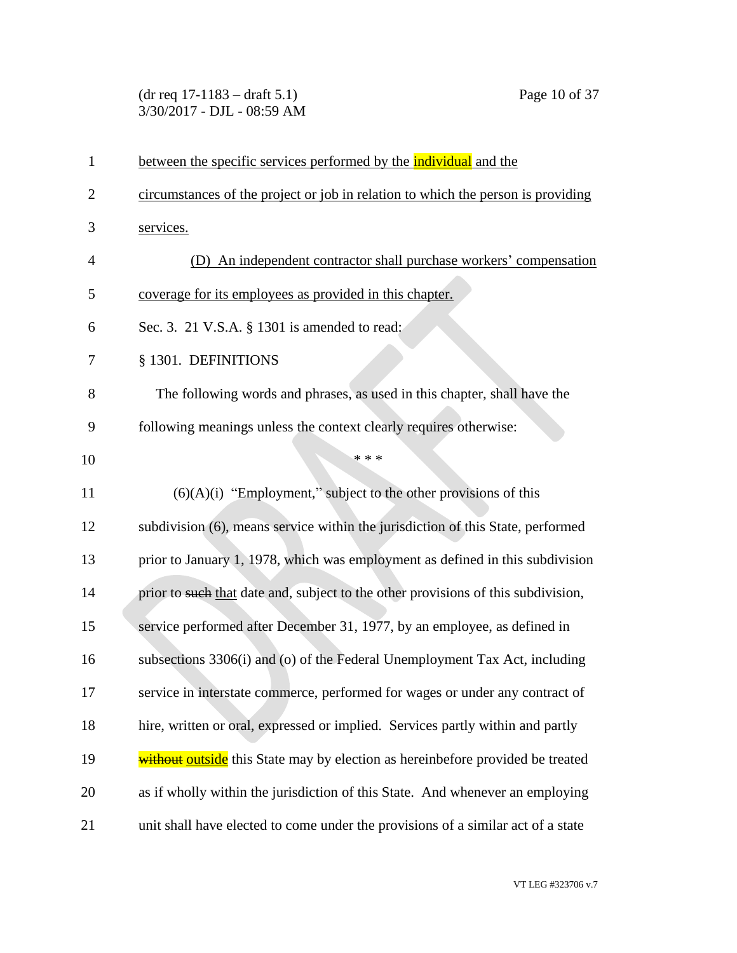(dr req 17-1183 – draft 5.1) Page 10 of 37 3/30/2017 - DJL - 08:59 AM

| $\mathbf{1}$   | between the specific services performed by the <b>individual</b> and the          |
|----------------|-----------------------------------------------------------------------------------|
| $\overline{2}$ | circumstances of the project or job in relation to which the person is providing  |
| 3              | services.                                                                         |
| 4              | (D) An independent contractor shall purchase workers' compensation                |
| 5              | coverage for its employees as provided in this chapter.                           |
| 6              | Sec. 3. 21 V.S.A. § 1301 is amended to read:                                      |
| 7              | § 1301. DEFINITIONS                                                               |
| 8              | The following words and phrases, as used in this chapter, shall have the          |
| 9              | following meanings unless the context clearly requires otherwise:                 |
| 10             | * * *                                                                             |
| 11             | $(6)(A)(i)$ "Employment," subject to the other provisions of this                 |
| 12             | subdivision (6), means service within the jurisdiction of this State, performed   |
| 13             | prior to January 1, 1978, which was employment as defined in this subdivision     |
| 14             | prior to such that date and, subject to the other provisions of this subdivision, |
| 15             | service performed after December 31, 1977, by an employee, as defined in          |
| 16             | subsections 3306(i) and (o) of the Federal Unemployment Tax Act, including        |
| 17             | service in interstate commerce, performed for wages or under any contract of      |
| 18             | hire, written or oral, expressed or implied. Services partly within and partly    |
| 19             | without outside this State may by election as hereinbefore provided be treated    |
| 20             | as if wholly within the jurisdiction of this State. And whenever an employing     |
| 21             | unit shall have elected to come under the provisions of a similar act of a state  |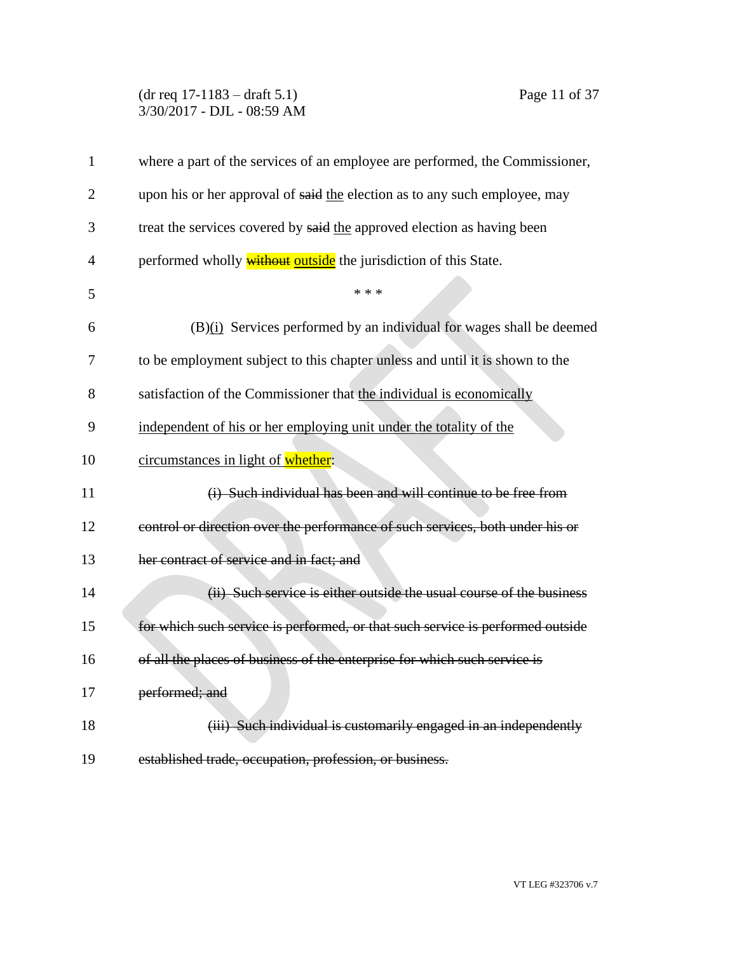## (dr req 17-1183 – draft 5.1) Page 11 of 37 3/30/2017 - DJL - 08:59 AM

| $\mathbf{1}$   | where a part of the services of an employee are performed, the Commissioner,   |
|----------------|--------------------------------------------------------------------------------|
| $\overline{c}$ | upon his or her approval of said the election as to any such employee, may     |
| 3              | treat the services covered by said the approved election as having been        |
| $\overline{4}$ | performed wholly <b>without</b> outside the jurisdiction of this State.        |
| 5              | * * *                                                                          |
| 6              | (B)(i) Services performed by an individual for wages shall be deemed           |
| 7              | to be employment subject to this chapter unless and until it is shown to the   |
| 8              | satisfaction of the Commissioner that the individual is economically           |
| 9              | independent of his or her employing unit under the totality of the             |
| 10             | circumstances in light of whether:                                             |
| 11             | (i) Such individual has been and will continue to be free from                 |
| 12             | control or direction over the performance of such services, both under his or  |
| 13             | her contract of service and in fact; and                                       |
| 14             | (ii) Such service is either outside the usual course of the business           |
| 15             | for which such service is performed, or that such service is performed outside |
| 16             | of all the places of business of the enterprise for which such service is      |
| 17             | performed; and                                                                 |
| 18             | (iii) Such individual is customarily engaged in an independently               |
| 19             | established trade, occupation, profession, or business.                        |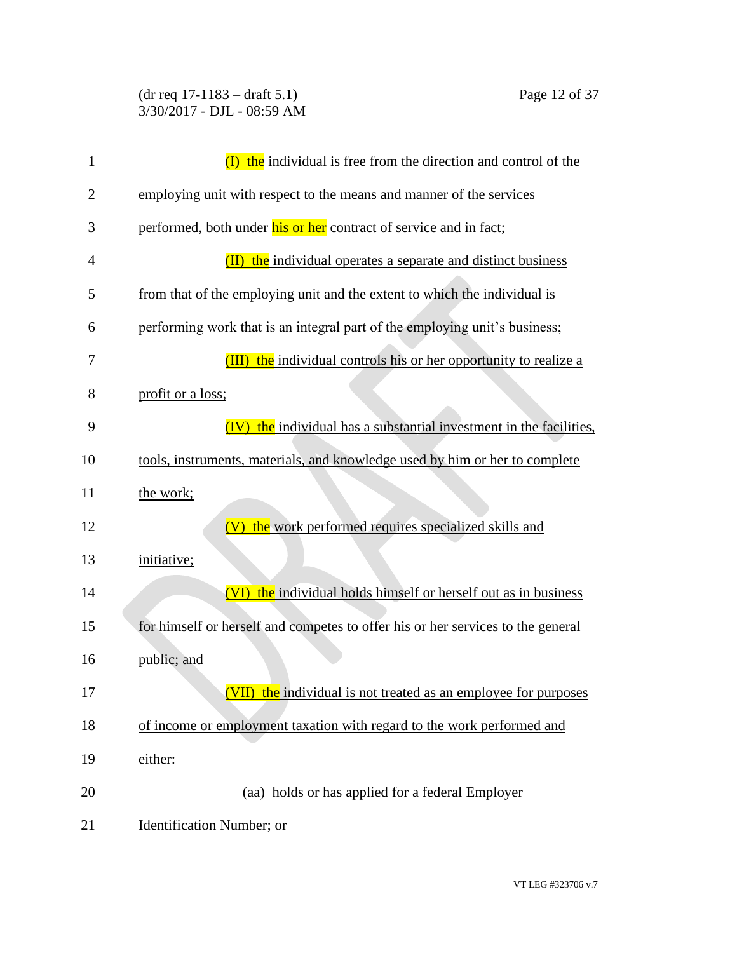(dr req 17-1183 – draft 5.1) Page 12 of 37 3/30/2017 - DJL - 08:59 AM

| $\mathbf{1}$   | the individual is free from the direction and control of the<br>$\overline{(\Gamma)}$ |
|----------------|---------------------------------------------------------------------------------------|
| $\overline{2}$ | employing unit with respect to the means and manner of the services                   |
| 3              | performed, both under his or her contract of service and in fact;                     |
| 4              | (II)<br>the individual operates a separate and distinct business                      |
| 5              | from that of the employing unit and the extent to which the individual is             |
| 6              | performing work that is an integral part of the employing unit's business;            |
| 7              | the individual controls his or her opportunity to realize a<br>(III)                  |
| 8              | profit or a loss;                                                                     |
| 9              | (IV) the individual has a substantial investment in the facilities,                   |
| 10             | tools, instruments, materials, and knowledge used by him or her to complete           |
| 11             | the work;                                                                             |
| 12             | the work performed requires specialized skills and<br>(V)                             |
| 13             | initiative;                                                                           |
| 14             | (VI) the individual holds himself or herself out as in business                       |
| 15             | for himself or herself and competes to offer his or her services to the general       |
| 16             | public; and                                                                           |
| 17             | (VII) the individual is not treated as an employee for purposes                       |
| 18             | of income or employment taxation with regard to the work performed and                |
| 19             | either:                                                                               |
| 20             | (aa) holds or has applied for a federal Employer                                      |
| 21             | <b>Identification Number</b> ; or                                                     |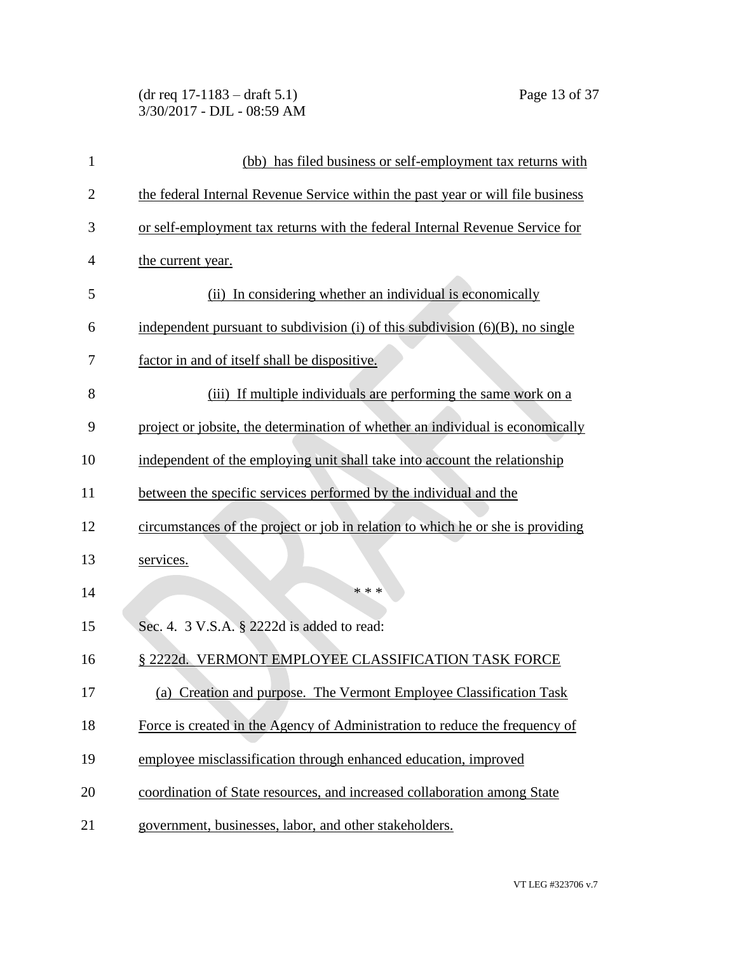| $(dr \text{ req } 17-1183 - draft 5.1)$ |  |
|-----------------------------------------|--|
| 3/30/2017 - DJL - 08:59 AM              |  |

| $\mathbf{1}$   | (bb) has filed business or self-employment tax returns with                      |
|----------------|----------------------------------------------------------------------------------|
| $\overline{2}$ | the federal Internal Revenue Service within the past year or will file business  |
| 3              | or self-employment tax returns with the federal Internal Revenue Service for     |
| 4              | the current year.                                                                |
| 5              | (ii) In considering whether an individual is economically                        |
| 6              | independent pursuant to subdivision (i) of this subdivision $(6)(B)$ , no single |
| 7              | factor in and of itself shall be dispositive.                                    |
| 8              | (iii) If multiple individuals are performing the same work on a                  |
| 9              | project or jobsite, the determination of whether an individual is economically   |
| 10             | independent of the employing unit shall take into account the relationship       |
| 11             | between the specific services performed by the individual and the                |
| 12             | circumstances of the project or job in relation to which he or she is providing  |
| 13             | services.                                                                        |
| 14             | * * *                                                                            |
| 15             | Sec. 4. 3 V.S.A. § 2222d is added to read:                                       |
| 16             | § 2222d. VERMONT EMPLOYEE CLASSIFICATION TASK FORCE                              |
| 17             | (a) Creation and purpose. The Vermont Employee Classification Task               |
| 18             | Force is created in the Agency of Administration to reduce the frequency of      |
| 19             | employee misclassification through enhanced education, improved                  |
| 20             | coordination of State resources, and increased collaboration among State         |
| 21             | government, businesses, labor, and other stakeholders.                           |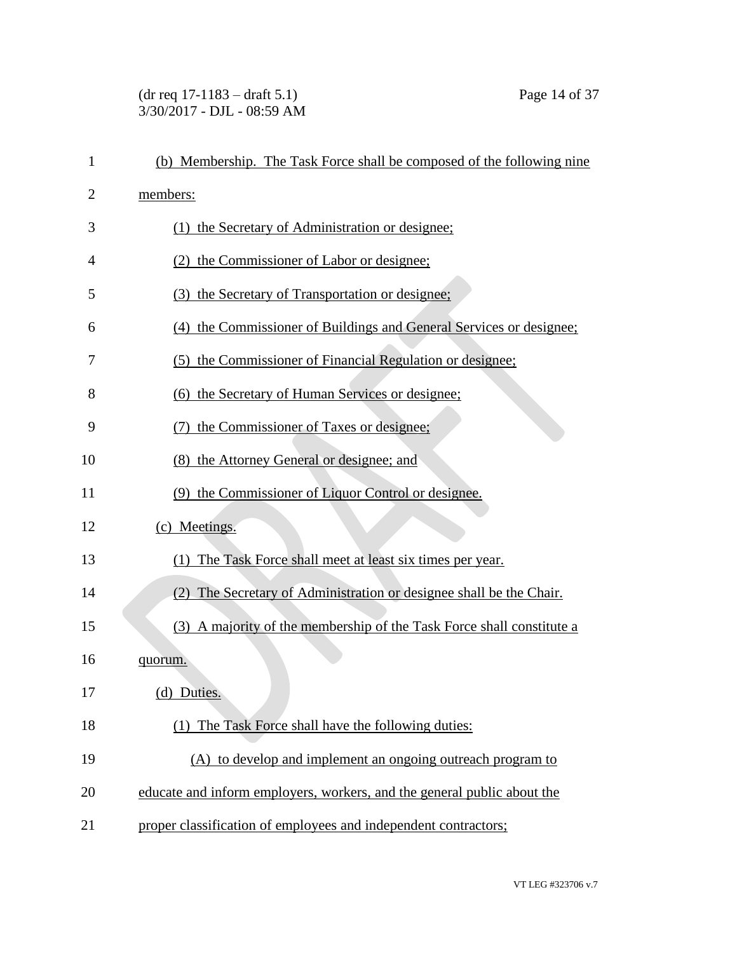### (dr req 17-1183 – draft 5.1) Page 14 of 37 3/30/2017 - DJL - 08:59 AM

| $\mathbf{1}$ | (b) Membership. The Task Force shall be composed of the following nine  |
|--------------|-------------------------------------------------------------------------|
| 2            | members:                                                                |
| 3            | (1) the Secretary of Administration or designee;                        |
| 4            | (2) the Commissioner of Labor or designee;                              |
| 5            | (3) the Secretary of Transportation or designee;                        |
| 6            | (4) the Commissioner of Buildings and General Services or designee;     |
| 7            | (5) the Commissioner of Financial Regulation or designee;               |
| 8            | (6) the Secretary of Human Services or designee;                        |
| 9            | the Commissioner of Taxes or designee;                                  |
| 10           | (8) the Attorney General or designee; and                               |
| 11           | (9) the Commissioner of Liquor Control or designee.                     |
| 12           | (c) Meetings.                                                           |
| 13           | (1) The Task Force shall meet at least six times per year.              |
| 14           | (2) The Secretary of Administration or designee shall be the Chair.     |
| 15           | (3) A majority of the membership of the Task Force shall constitute a   |
| 16           | quorum.                                                                 |
| 17           | (d) Duties.                                                             |
| 18           | (1) The Task Force shall have the following duties:                     |
| 19           | (A) to develop and implement an ongoing outreach program to             |
| 20           | educate and inform employers, workers, and the general public about the |
| 21           | proper classification of employees and independent contractors;         |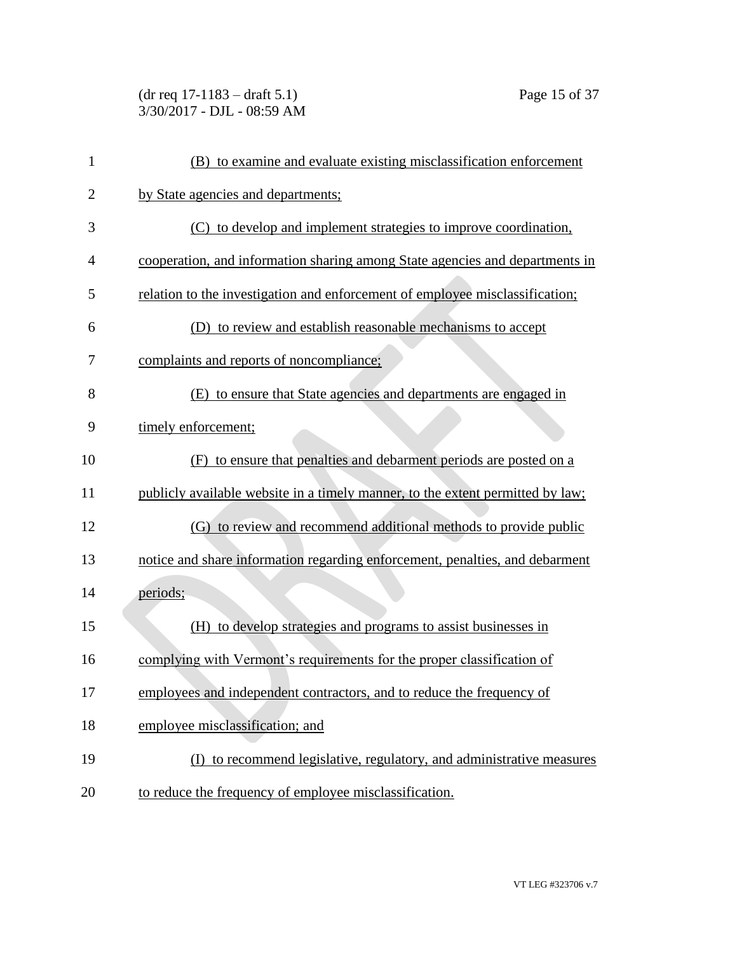(dr req 17-1183 – draft 5.1) Page 15 of 37 3/30/2017 - DJL - 08:59 AM

| 1              | (B) to examine and evaluate existing misclassification enforcement             |
|----------------|--------------------------------------------------------------------------------|
| $\overline{2}$ | by State agencies and departments;                                             |
| 3              | (C) to develop and implement strategies to improve coordination,               |
| 4              | cooperation, and information sharing among State agencies and departments in   |
| 5              | relation to the investigation and enforcement of employee misclassification;   |
| 6              | (D) to review and establish reasonable mechanisms to accept                    |
| 7              | complaints and reports of noncompliance;                                       |
| 8              | (E) to ensure that State agencies and departments are engaged in               |
| 9              | timely enforcement;                                                            |
| 10             | to ensure that penalties and debarment periods are posted on a<br>(F)          |
| 11             | publicly available website in a timely manner, to the extent permitted by law; |
| 12             | (G) to review and recommend additional methods to provide public               |
| 13             | notice and share information regarding enforcement, penalties, and debarment   |
| 14             | periods;                                                                       |
| 15             | (H) to develop strategies and programs to assist businesses in                 |
| 16             | complying with Vermont's requirements for the proper classification of         |
| 17             | employees and independent contractors, and to reduce the frequency of          |
| 18             | employee misclassification; and                                                |
| 19             | (I) to recommend legislative, regulatory, and administrative measures          |
| 20             | to reduce the frequency of employee misclassification.                         |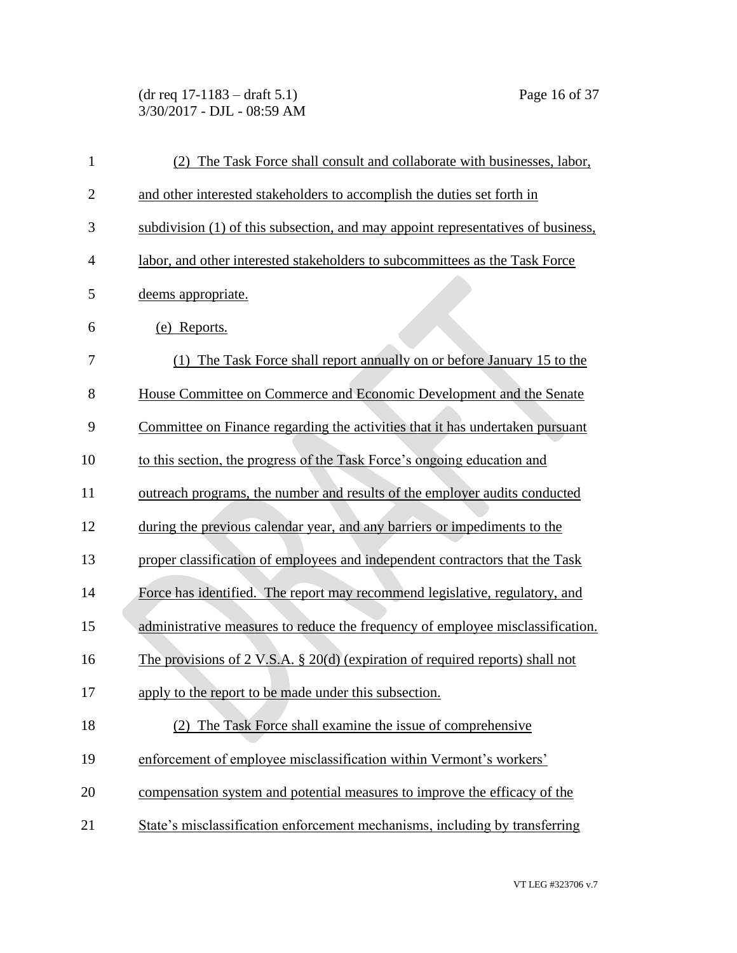(dr req 17-1183 – draft 5.1) Page 16 of 37 3/30/2017 - DJL - 08:59 AM

| $\mathbf{1}$   | (2) The Task Force shall consult and collaborate with businesses, labor,         |
|----------------|----------------------------------------------------------------------------------|
| $\overline{2}$ | and other interested stakeholders to accomplish the duties set forth in          |
| 3              | subdivision (1) of this subsection, and may appoint representatives of business, |
| $\overline{4}$ | labor, and other interested stakeholders to subcommittees as the Task Force      |
| 5              | deems appropriate.                                                               |
| 6              | (e) Reports.                                                                     |
| 7              | (1) The Task Force shall report annually on or before January 15 to the          |
| 8              | House Committee on Commerce and Economic Development and the Senate              |
| 9              | Committee on Finance regarding the activities that it has undertaken pursuant    |
| 10             | to this section, the progress of the Task Force's ongoing education and          |
| 11             | outreach programs, the number and results of the employer audits conducted       |
| 12             | during the previous calendar year, and any barriers or impediments to the        |
| 13             | proper classification of employees and independent contractors that the Task     |
| 14             | Force has identified. The report may recommend legislative, regulatory, and      |
| 15             | administrative measures to reduce the frequency of employee misclassification.   |
| 16             | The provisions of 2 V.S.A. § 20(d) (expiration of required reports) shall not    |
| 17             | apply to the report to be made under this subsection.                            |
| 18             | The Task Force shall examine the issue of comprehensive<br>(2)                   |
| 19             | enforcement of employee misclassification within Vermont's workers'              |
| 20             | compensation system and potential measures to improve the efficacy of the        |
| 21             | State's misclassification enforcement mechanisms, including by transferring      |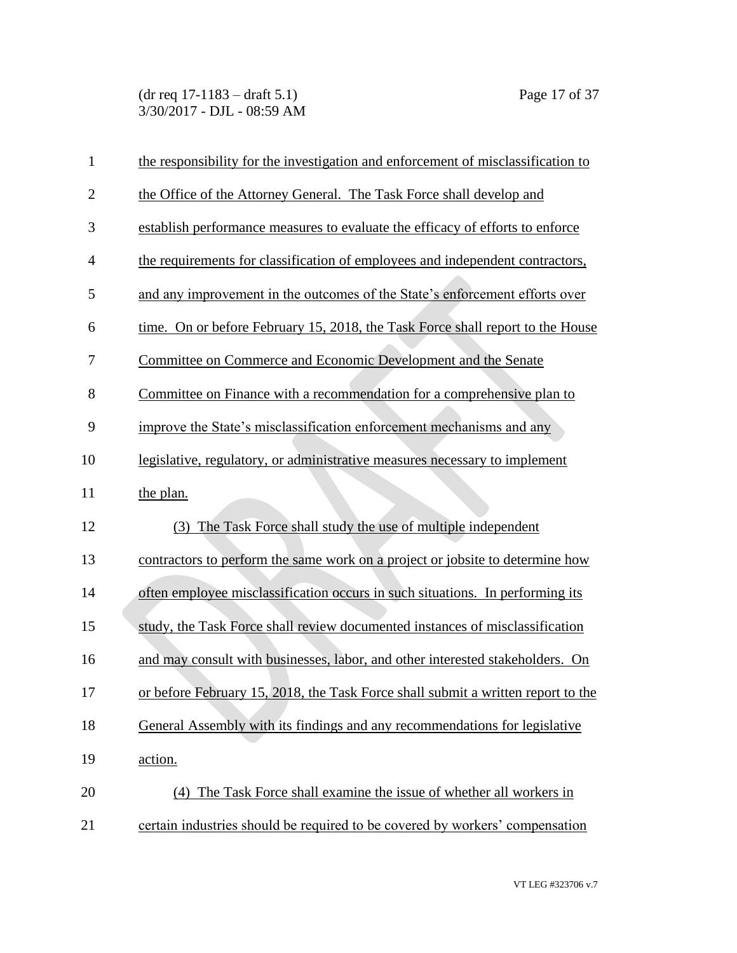(dr req 17-1183 – draft 5.1) Page 17 of 37 3/30/2017 - DJL - 08:59 AM

| $\mathbf{1}$ | the responsibility for the investigation and enforcement of misclassification to |
|--------------|----------------------------------------------------------------------------------|
| $\mathbf{2}$ | the Office of the Attorney General. The Task Force shall develop and             |
| 3            | establish performance measures to evaluate the efficacy of efforts to enforce    |
| 4            | the requirements for classification of employees and independent contractors,    |
| 5            | and any improvement in the outcomes of the State's enforcement efforts over      |
| 6            | time. On or before February 15, 2018, the Task Force shall report to the House   |
| 7            | Committee on Commerce and Economic Development and the Senate                    |
| 8            | Committee on Finance with a recommendation for a comprehensive plan to           |
| 9            | improve the State's misclassification enforcement mechanisms and any             |
| 10           | legislative, regulatory, or administrative measures necessary to implement       |
| 11           | the plan.                                                                        |
| 12           | The Task Force shall study the use of multiple independent<br>(3)                |
| 13           | contractors to perform the same work on a project or jobsite to determine how    |
| 14           | often employee misclassification occurs in such situations. In performing its    |
| 15           | study, the Task Force shall review documented instances of misclassification     |
| 16           | and may consult with businesses, labor, and other interested stakeholders. On    |
| 17           | or before February 15, 2018, the Task Force shall submit a written report to the |
| 18           | General Assembly with its findings and any recommendations for legislative       |
| 19           | action.                                                                          |
| 20           | The Task Force shall examine the issue of whether all workers in<br>(4)          |
| 21           | certain industries should be required to be covered by workers' compensation     |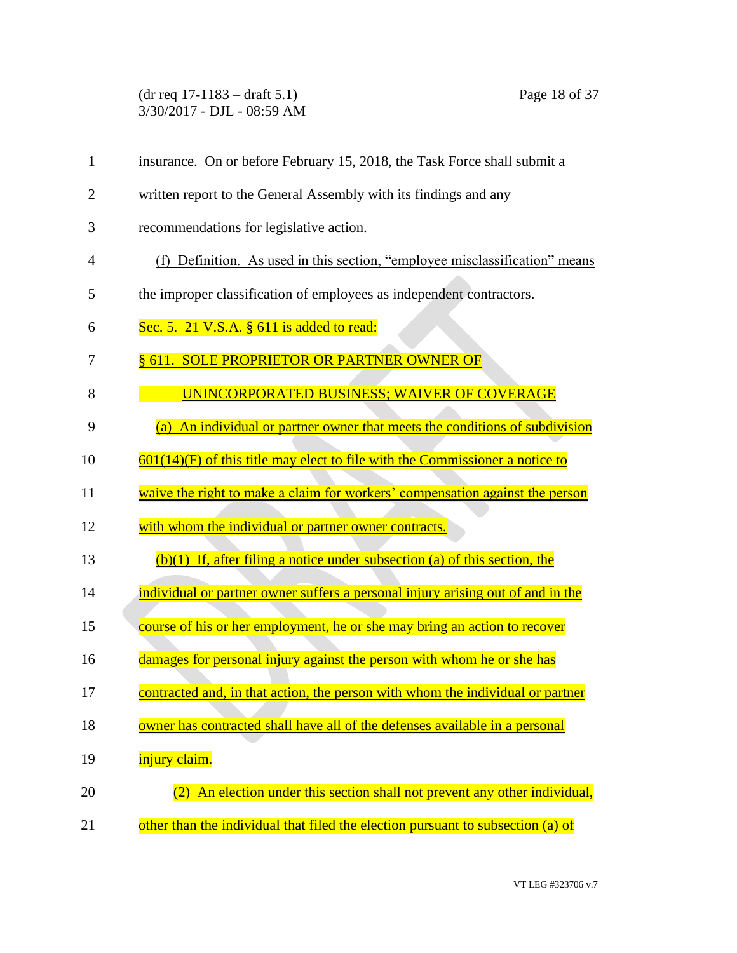(dr req 17-1183 – draft 5.1) Page 18 of 37 3/30/2017 - DJL - 08:59 AM

| $\mathbf{1}$   | insurance. On or before February 15, 2018, the Task Force shall submit a        |
|----------------|---------------------------------------------------------------------------------|
| $\overline{2}$ | written report to the General Assembly with its findings and any                |
| 3              | recommendations for legislative action.                                         |
| $\overline{4}$ | (f) Definition. As used in this section, "employee misclassification" means     |
| 5              | the improper classification of employees as independent contractors.            |
| 6              | Sec. 5. $21$ V.S.A. $\S$ 611 is added to read:                                  |
| 7              | § 611. SOLE PROPRIETOR OR PARTNER OWNER OF                                      |
| 8              | <b>UNINCORPORATED BUSINESS; WAIVER OF COVERAGE</b>                              |
| 9              | (a) An individual or partner owner that meets the conditions of subdivision     |
| 10             | $601(14)(F)$ of this title may elect to file with the Commissioner a notice to  |
| 11             | waive the right to make a claim for workers' compensation against the person    |
| 12             | with whom the individual or partner owner contracts.                            |
| 13             | $(b)(1)$ If, after filing a notice under subsection (a) of this section, the    |
| 14             | individual or partner owner suffers a personal injury arising out of and in the |
| 15             | course of his or her employment, he or she may bring an action to recover       |
| 16             | damages for personal injury against the person with whom he or she has          |
| 17             | contracted and, in that action, the person with whom the individual or partner  |
| 18             | owner has contracted shall have all of the defenses available in a personal     |
| 19             | injury claim.                                                                   |
| 20             | An election under this section shall not prevent any other individual,          |
| 21             | other than the individual that filed the election pursuant to subsection (a) of |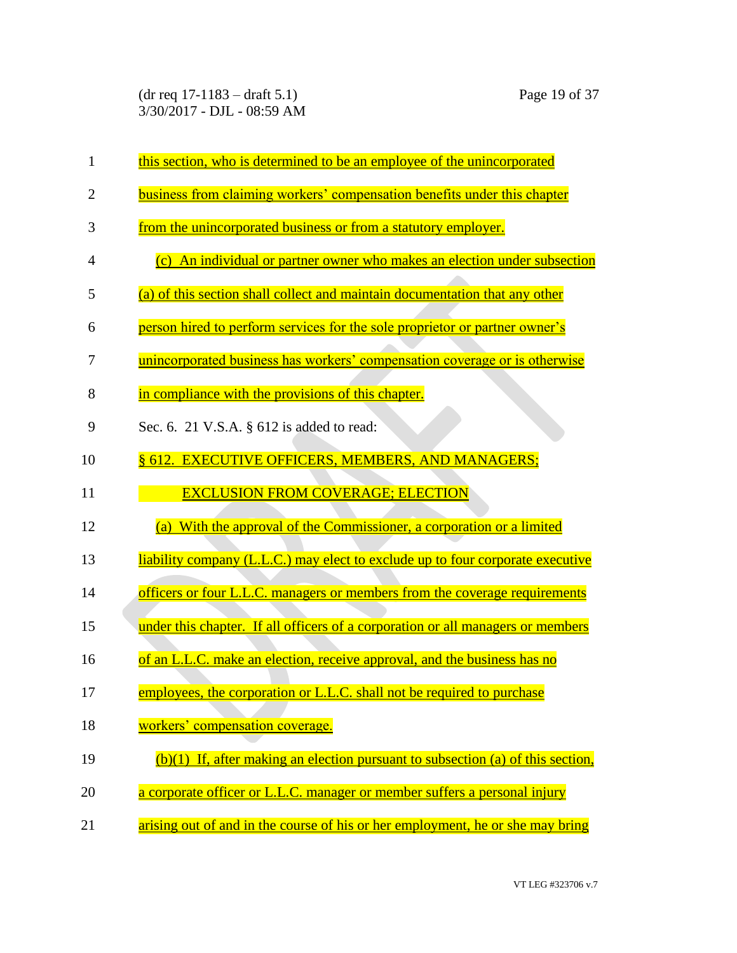(dr req 17-1183 – draft 5.1) Page 19 of 37 3/30/2017 - DJL - 08:59 AM

| $\mathbf{1}$   | this section, who is determined to be an employee of the unincorporated           |
|----------------|-----------------------------------------------------------------------------------|
| $\overline{2}$ | business from claiming workers' compensation benefits under this chapter          |
| 3              | from the unincorporated business or from a statutory employer.                    |
| 4              | (c) An individual or partner owner who makes an election under subsection         |
| 5              | (a) of this section shall collect and maintain documentation that any other       |
| 6              | person hired to perform services for the sole proprietor or partner owner's       |
| 7              | unincorporated business has workers' compensation coverage or is otherwise        |
| 8              | in compliance with the provisions of this chapter.                                |
| 9              | Sec. 6. 21 V.S.A. § 612 is added to read:                                         |
| 10             | § 612. EXECUTIVE OFFICERS, MEMBERS, AND MANAGERS;                                 |
| 11             | <b>EXCLUSION FROM COVERAGE; ELECTION</b>                                          |
| 12             | (a) With the approval of the Commissioner, a corporation or a limited             |
| 13             | liability company (L.L.C.) may elect to exclude up to four corporate executive    |
| 14             | officers or four L.L.C. managers or members from the coverage requirements        |
| 15             | under this chapter. If all officers of a corporation or all managers or members   |
| 16             | of an L.L.C. make an election, receive approval, and the business has no          |
| 17             | employees, the corporation or L.L.C. shall not be required to purchase            |
| 18             | workers' compensation coverage.                                                   |
| 19             | $(b)(1)$ If, after making an election pursuant to subsection (a) of this section, |
| 20             | a corporate officer or L.L.C. manager or member suffers a personal injury         |
| 21             | arising out of and in the course of his or her employment, he or she may bring    |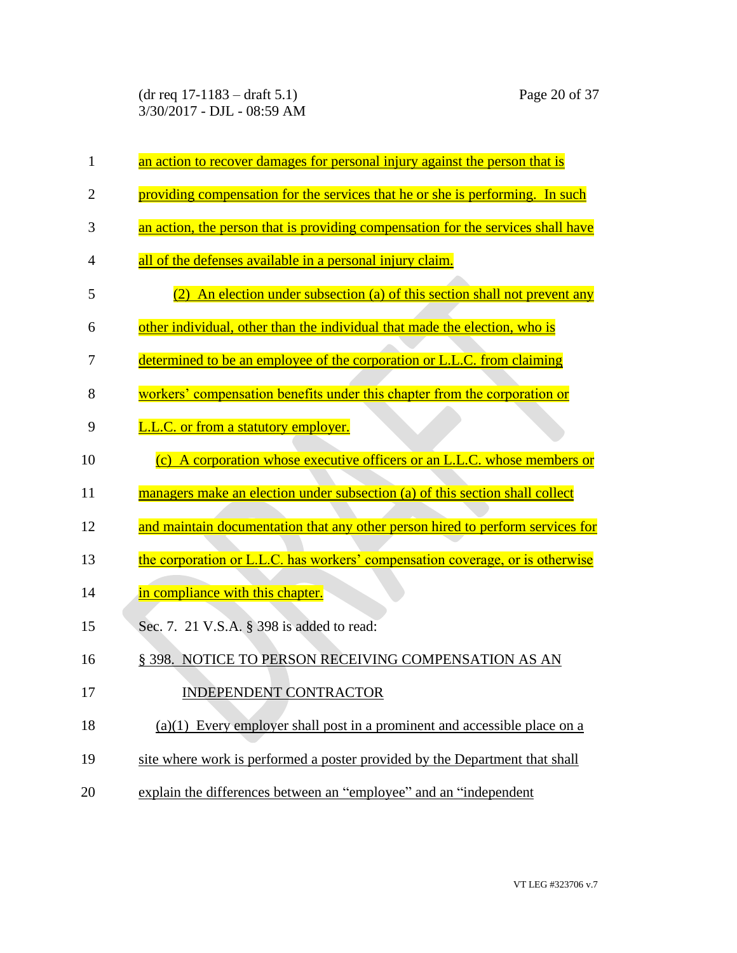(dr req 17-1183 – draft 5.1) Page 20 of 37 3/30/2017 - DJL - 08:59 AM

| $\mathbf{1}$   | an action to recover damages for personal injury against the person that is      |
|----------------|----------------------------------------------------------------------------------|
| $\overline{2}$ | providing compensation for the services that he or she is performing. In such    |
| 3              | an action, the person that is providing compensation for the services shall have |
| 4              | all of the defenses available in a personal injury claim.                        |
| 5              | An election under subsection (a) of this section shall not prevent any<br>(2)    |
| 6              | other individual, other than the individual that made the election, who is       |
| 7              | determined to be an employee of the corporation or L.L.C. from claiming          |
| 8              | workers' compensation benefits under this chapter from the corporation or        |
| 9              | <b>L.L.C.</b> or from a statutory employer.                                      |
| 10             | A corporation whose executive officers or an L.L.C. whose members or<br>(c)      |
| 11             | managers make an election under subsection (a) of this section shall collect     |
| 12             | and maintain documentation that any other person hired to perform services for   |
| 13             | the corporation or L.L.C. has workers' compensation coverage, or is otherwise    |
| 14             | in compliance with this chapter.                                                 |
| 15             | Sec. 7. 21 V.S.A. § 398 is added to read:                                        |
| 16             | § 398. NOTICE TO PERSON RECEIVING COMPENSATION AS AN                             |
| 17             | <b>INDEPENDENT CONTRACTOR</b>                                                    |
| 18             | $(a)(1)$ Every employer shall post in a prominent and accessible place on a      |
| 19             | site where work is performed a poster provided by the Department that shall      |
| 20             | explain the differences between an "employee" and an "independent                |
|                |                                                                                  |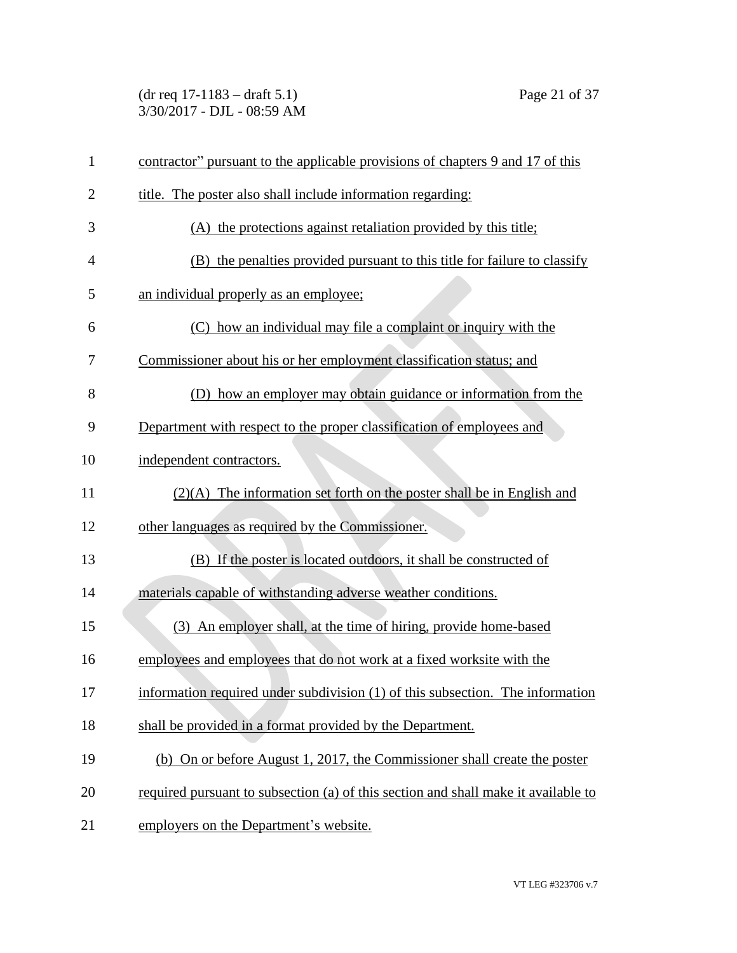(dr req 17-1183 – draft 5.1) Page 21 of 37 3/30/2017 - DJL - 08:59 AM

| $\mathbf{1}$   | contractor" pursuant to the applicable provisions of chapters 9 and 17 of this     |
|----------------|------------------------------------------------------------------------------------|
| $\overline{2}$ | title. The poster also shall include information regarding:                        |
| 3              | (A) the protections against retaliation provided by this title;                    |
| 4              | (B) the penalties provided pursuant to this title for failure to classify          |
| 5              | an individual properly as an employee;                                             |
| 6              | how an individual may file a complaint or inquiry with the<br>(C)                  |
| 7              | Commissioner about his or her employment classification status; and                |
| 8              | (D) how an employer may obtain guidance or information from the                    |
| 9              | Department with respect to the proper classification of employees and              |
| 10             | independent contractors.                                                           |
| 11             | $(2)(A)$ The information set forth on the poster shall be in English and           |
| 12             | other languages as required by the Commissioner.                                   |
| 13             | (B) If the poster is located outdoors, it shall be constructed of                  |
| 14             | materials capable of withstanding adverse weather conditions.                      |
| 15             | (3) An employer shall, at the time of hiring, provide home-based                   |
| 16             | employees and employees that do not work at a fixed worksite with the              |
| 17             | information required under subdivision (1) of this subsection. The information     |
| 18             | shall be provided in a format provided by the Department.                          |
| 19             | (b) On or before August 1, 2017, the Commissioner shall create the poster          |
| 20             | required pursuant to subsection (a) of this section and shall make it available to |
| 21             | employers on the Department's website.                                             |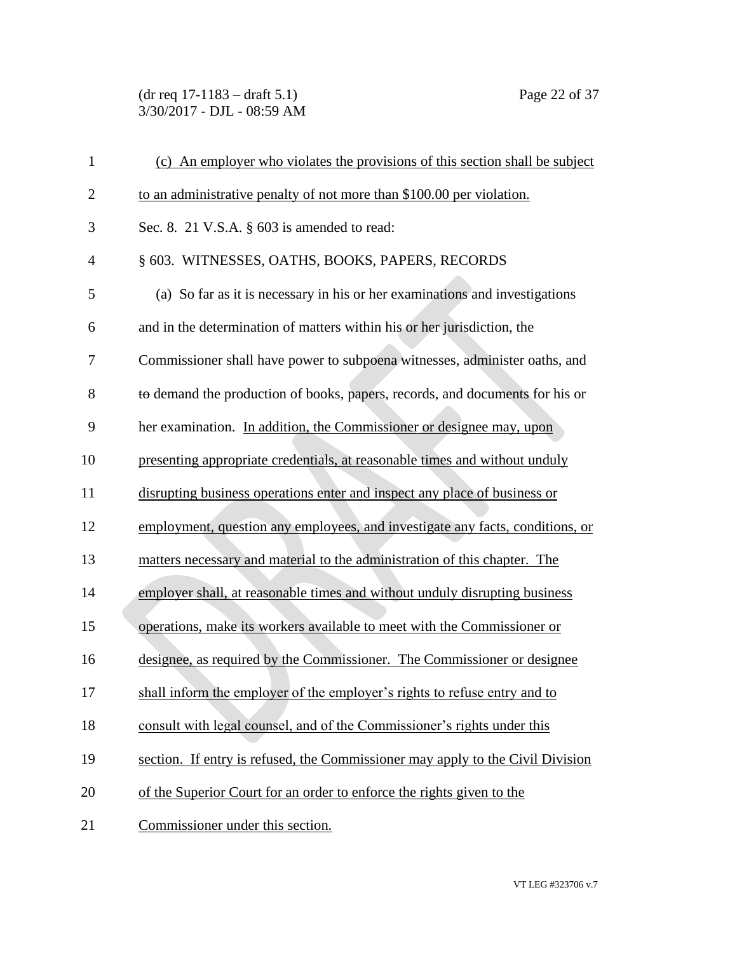(dr req 17-1183 – draft 5.1) Page 22 of 37 3/30/2017 - DJL - 08:59 AM

| $\mathbf{1}$   | (c) An employer who violates the provisions of this section shall be subject   |
|----------------|--------------------------------------------------------------------------------|
| $\overline{2}$ | to an administrative penalty of not more than \$100.00 per violation.          |
| 3              | Sec. 8. 21 V.S.A. $\S$ 603 is amended to read:                                 |
| $\overline{4}$ | § 603. WITNESSES, OATHS, BOOKS, PAPERS, RECORDS                                |
| 5              | (a) So far as it is necessary in his or her examinations and investigations    |
| 6              | and in the determination of matters within his or her jurisdiction, the        |
| 7              | Commissioner shall have power to subpoena witnesses, administer oaths, and     |
| 8              | to demand the production of books, papers, records, and documents for his or   |
| 9              | her examination. In addition, the Commissioner or designee may, upon           |
| 10             | presenting appropriate credentials, at reasonable times and without unduly     |
| 11             | disrupting business operations enter and inspect any place of business or      |
| 12             | employment, question any employees, and investigate any facts, conditions, or  |
| 13             | matters necessary and material to the administration of this chapter. The      |
| 14             | employer shall, at reasonable times and without unduly disrupting business     |
| 15             | operations, make its workers available to meet with the Commissioner or        |
| 16             | designee, as required by the Commissioner. The Commissioner or designee        |
| 17             | shall inform the employer of the employer's rights to refuse entry and to      |
| 18             | consult with legal counsel, and of the Commissioner's rights under this        |
| 19             | section. If entry is refused, the Commissioner may apply to the Civil Division |
| 20             | of the Superior Court for an order to enforce the rights given to the          |
| 21             | Commissioner under this section.                                               |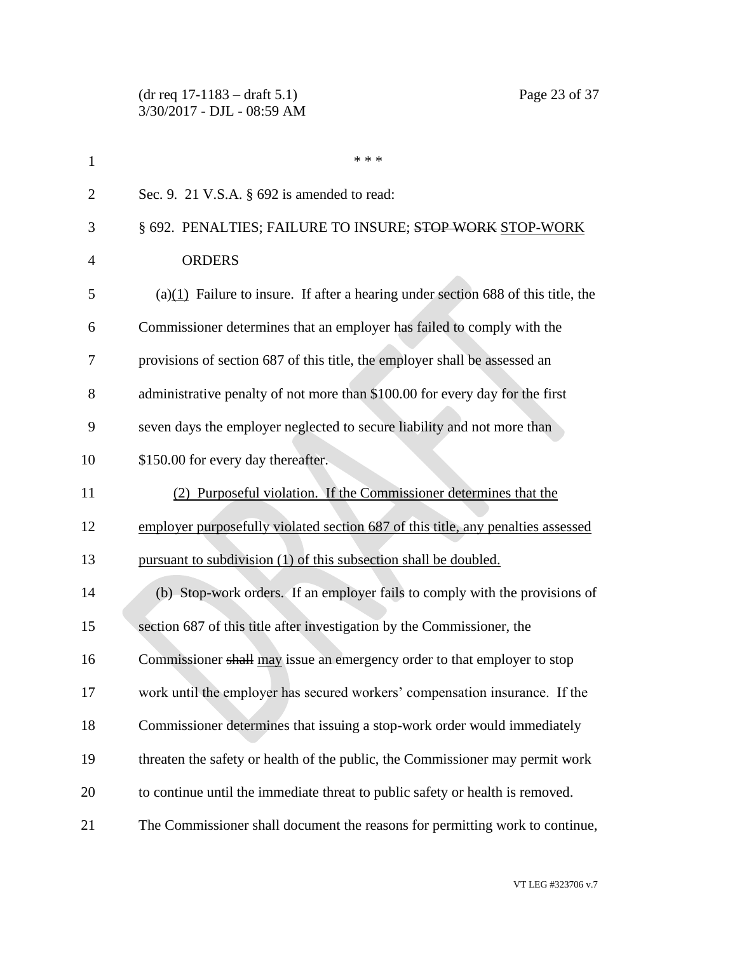(dr req 17-1183 – draft 5.1) Page 23 of 37 3/30/2017 - DJL - 08:59 AM

| $\mathbf{1}$   | * * *                                                                                |
|----------------|--------------------------------------------------------------------------------------|
| $\overline{2}$ | Sec. 9. 21 V.S.A. § 692 is amended to read:                                          |
| 3              | § 692. PENALTIES; FAILURE TO INSURE; STOP WORK STOP-WORK                             |
| 4              | <b>ORDERS</b>                                                                        |
| 5              | (a) $(1)$ Failure to insure. If after a hearing under section 688 of this title, the |
| 6              | Commissioner determines that an employer has failed to comply with the               |
| 7              | provisions of section 687 of this title, the employer shall be assessed an           |
| 8              | administrative penalty of not more than \$100.00 for every day for the first         |
| 9              | seven days the employer neglected to secure liability and not more than              |
| 10             | \$150.00 for every day thereafter.                                                   |
| 11             | (2) Purposeful violation. If the Commissioner determines that the                    |
| 12             | employer purposefully violated section 687 of this title, any penalties assessed     |
| 13             | pursuant to subdivision (1) of this subsection shall be doubled.                     |
| 14             | (b) Stop-work orders. If an employer fails to comply with the provisions of          |
| 15             | section 687 of this title after investigation by the Commissioner, the               |
| 16             | Commissioner shall may issue an emergency order to that employer to stop             |
| 17             | work until the employer has secured workers' compensation insurance. If the          |
| 18             | Commissioner determines that issuing a stop-work order would immediately             |
| 19             | threaten the safety or health of the public, the Commissioner may permit work        |
| 20             | to continue until the immediate threat to public safety or health is removed.        |
| 21             | The Commissioner shall document the reasons for permitting work to continue,         |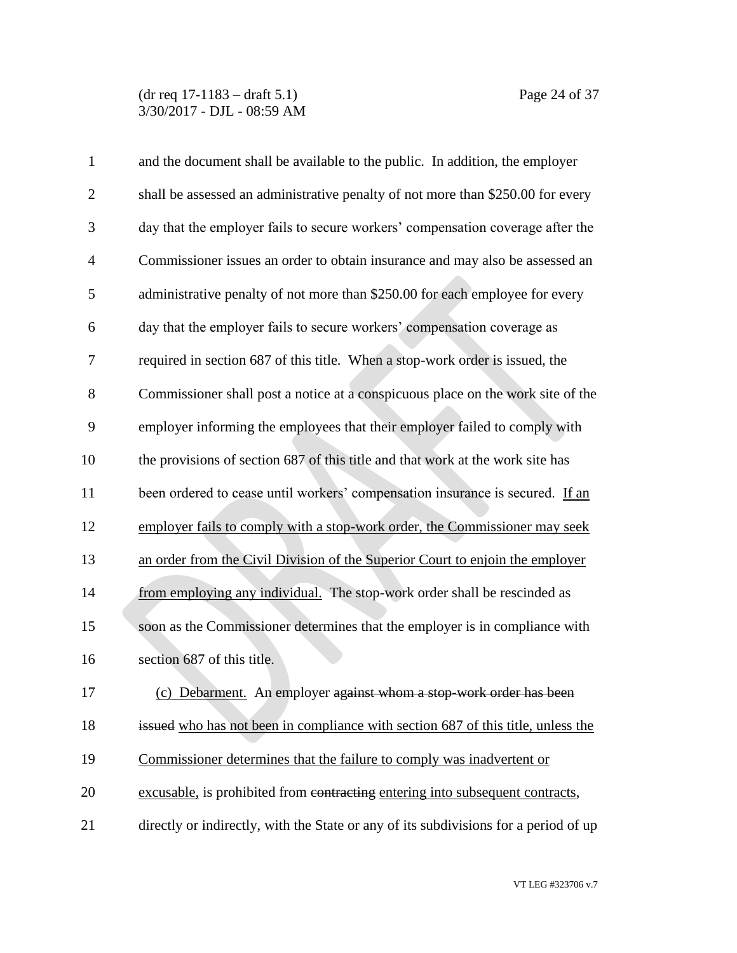(dr req 17-1183 – draft 5.1) Page 24 of 37 3/30/2017 - DJL - 08:59 AM

| $\mathbf{1}$   | and the document shall be available to the public. In addition, the employer         |
|----------------|--------------------------------------------------------------------------------------|
| $\overline{2}$ | shall be assessed an administrative penalty of not more than \$250.00 for every      |
| 3              | day that the employer fails to secure workers' compensation coverage after the       |
| $\overline{4}$ | Commissioner issues an order to obtain insurance and may also be assessed an         |
| 5              | administrative penalty of not more than \$250.00 for each employee for every         |
| 6              | day that the employer fails to secure workers' compensation coverage as              |
| 7              | required in section 687 of this title. When a stop-work order is issued, the         |
| 8              | Commissioner shall post a notice at a conspicuous place on the work site of the      |
| 9              | employer informing the employees that their employer failed to comply with           |
| 10             | the provisions of section 687 of this title and that work at the work site has       |
| 11             | been ordered to cease until workers' compensation insurance is secured. If an        |
| 12             | employer fails to comply with a stop-work order, the Commissioner may seek           |
| 13             | an order from the Civil Division of the Superior Court to enjoin the employer        |
| 14             | from employing any individual. The stop-work order shall be rescinded as             |
| 15             | soon as the Commissioner determines that the employer is in compliance with          |
| 16             | section 687 of this title.                                                           |
| 17             | (c) Debarment. An employer against whom a stop-work order has been                   |
| 18             | issued who has not been in compliance with section 687 of this title, unless the     |
| 19             | Commissioner determines that the failure to comply was inadvertent or                |
| 20             | excusable, is prohibited from contracting entering into subsequent contracts,        |
| 21             | directly or indirectly, with the State or any of its subdivisions for a period of up |

VT LEG #323706 v.7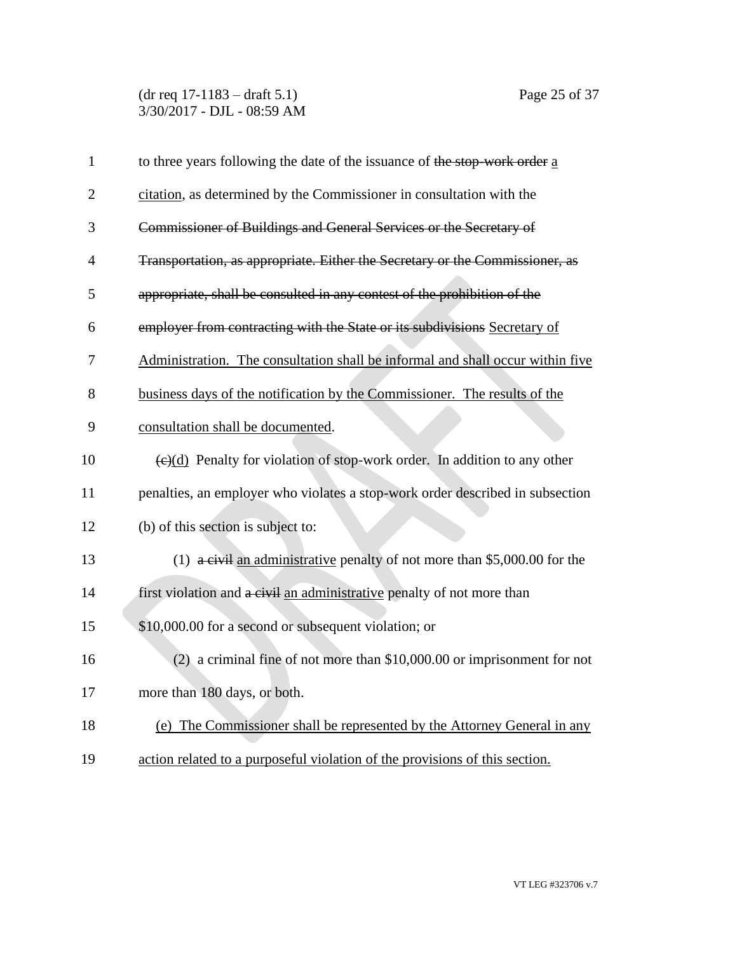(dr req 17-1183 – draft 5.1) Page 25 of 37 3/30/2017 - DJL - 08:59 AM

| $\mathbf{1}$   | to three years following the date of the issuance of the stop-work order a                    |
|----------------|-----------------------------------------------------------------------------------------------|
| $\overline{2}$ | citation, as determined by the Commissioner in consultation with the                          |
| 3              | Commissioner of Buildings and General Services or the Secretary of                            |
| 4              | Transportation, as appropriate. Either the Secretary or the Commissioner, as                  |
| 5              | appropriate, shall be consulted in any contest of the prohibition of the                      |
| 6              | employer from contracting with the State or its subdivisions Secretary of                     |
| 7              | Administration. The consultation shall be informal and shall occur within five                |
| 8              | business days of the notification by the Commissioner. The results of the                     |
| 9              | consultation shall be documented.                                                             |
| 10             | $\left(\frac{e}{d}\right)$ Penalty for violation of stop-work order. In addition to any other |
| 11             | penalties, an employer who violates a stop-work order described in subsection                 |
| 12             | (b) of this section is subject to:                                                            |
| 13             | (1) $\frac{1}{4}$ eivil an administrative penalty of not more than \$5,000.00 for the         |
| 14             | first violation and a civil an administrative penalty of not more than                        |
| 15             | \$10,000.00 for a second or subsequent violation; or                                          |
| 16             | $(2)$ a criminal fine of not more than \$10,000.00 or imprisonment for not                    |
| 17             | more than 180 days, or both.                                                                  |
| 18             | (e) The Commissioner shall be represented by the Attorney General in any                      |
| 19             | action related to a purposeful violation of the provisions of this section.                   |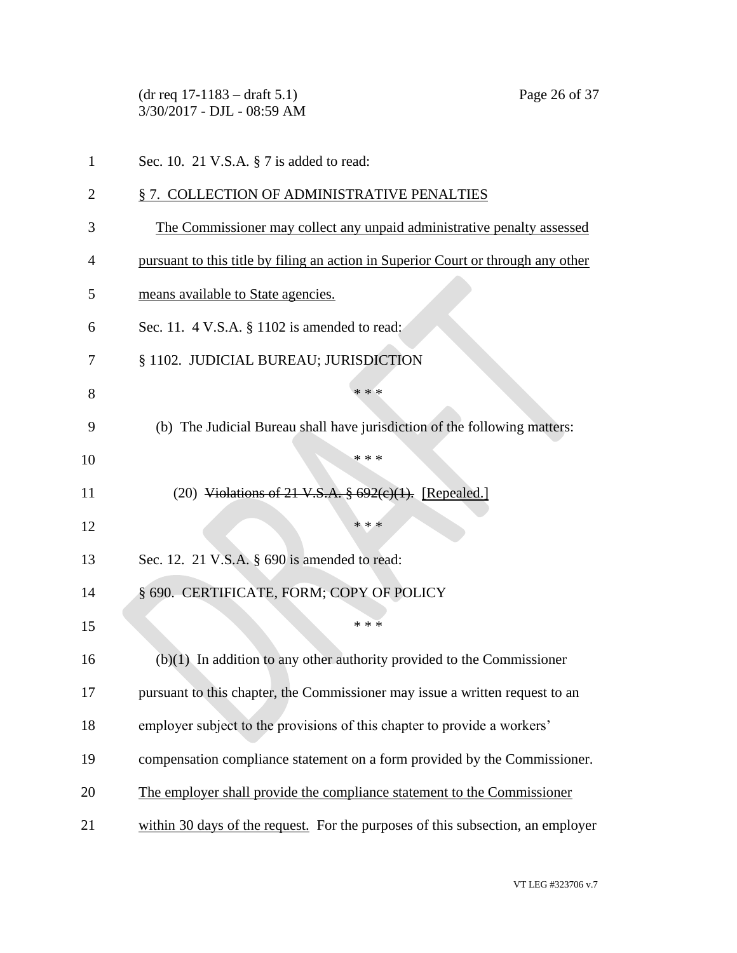|    | $(dr \text{ req } 17-1183 - draft 5.1)$<br>Page 26 of 37<br>3/30/2017 - DJL - 08:59 AM |
|----|----------------------------------------------------------------------------------------|
| 1  | Sec. 10. 21 V.S.A. § 7 is added to read:                                               |
| 2  | §7. COLLECTION OF ADMINISTRATIVE PENALTIES                                             |
| 3  | The Commissioner may collect any unpaid administrative penalty assessed                |
| 4  | pursuant to this title by filing an action in Superior Court or through any other      |
| 5  | means available to State agencies.                                                     |
| 6  | Sec. 11. 4 V.S.A. § 1102 is amended to read:                                           |
| 7  | § 1102. JUDICIAL BUREAU; JURISDICTION                                                  |
| 8  | * * *                                                                                  |
| 9  | (b) The Judicial Bureau shall have jurisdiction of the following matters:              |
| 10 | * * *                                                                                  |
| 11 | (20) Violations of 21 V.S.A. $\frac{692(e)(1)}{1}$ . [Repealed.]                       |
| 12 | * * *                                                                                  |
| 13 | Sec. 12. 21 V.S.A. $\S$ 690 is amended to read:                                        |
| 14 | § 690. CERTIFICATE, FORM; COPY OF POLICY                                               |
| 15 | * * *                                                                                  |
| 16 | $(b)(1)$ In addition to any other authority provided to the Commissioner               |
| 17 | pursuant to this chapter, the Commissioner may issue a written request to an           |
| 18 | employer subject to the provisions of this chapter to provide a workers'               |
| 19 | compensation compliance statement on a form provided by the Commissioner.              |
| 20 | The employer shall provide the compliance statement to the Commissioner                |
| 21 | within 30 days of the request. For the purposes of this subsection, an employer        |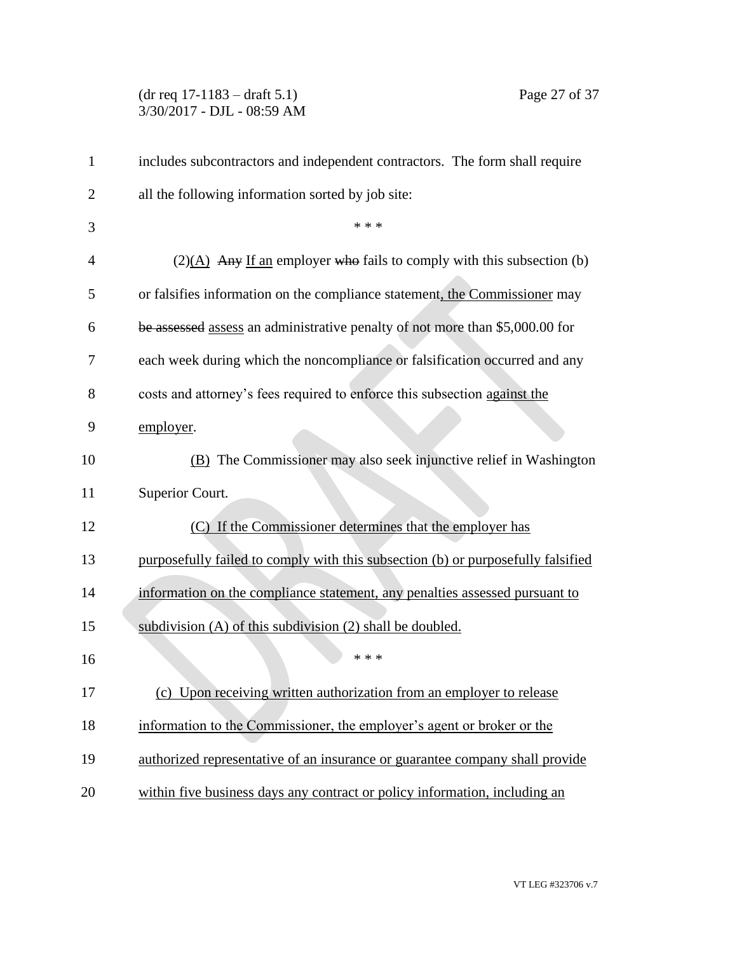(dr req 17-1183 – draft 5.1) Page 27 of 37 3/30/2017 - DJL - 08:59 AM

| $\mathbf{1}$   | includes subcontractors and independent contractors. The form shall require          |
|----------------|--------------------------------------------------------------------------------------|
| $\overline{2}$ | all the following information sorted by job site:                                    |
| 3              | * * *                                                                                |
| $\overline{4}$ | $(2)(\underline{A})$ Any If an employer who fails to comply with this subsection (b) |
| 5              | or falsifies information on the compliance statement, the Commissioner may           |
| 6              | be assessed assess an administrative penalty of not more than \$5,000.00 for         |
| 7              | each week during which the noncompliance or falsification occurred and any           |
| 8              | costs and attorney's fees required to enforce this subsection against the            |
| 9              | employer.                                                                            |
| 10             | (B) The Commissioner may also seek injunctive relief in Washington                   |
| 11             | Superior Court.                                                                      |
| 12             | (C) If the Commissioner determines that the employer has                             |
| 13             | purposefully failed to comply with this subsection (b) or purposefully falsified     |
| 14             | information on the compliance statement, any penalties assessed pursuant to          |
| 15             | subdivision (A) of this subdivision (2) shall be doubled.                            |
| 16             | * * *                                                                                |
| 17             | (c) Upon receiving written authorization from an employer to release                 |
| 18             | information to the Commissioner, the employer's agent or broker or the               |
| 19             | authorized representative of an insurance or guarantee company shall provide         |
| 20             | within five business days any contract or policy information, including an           |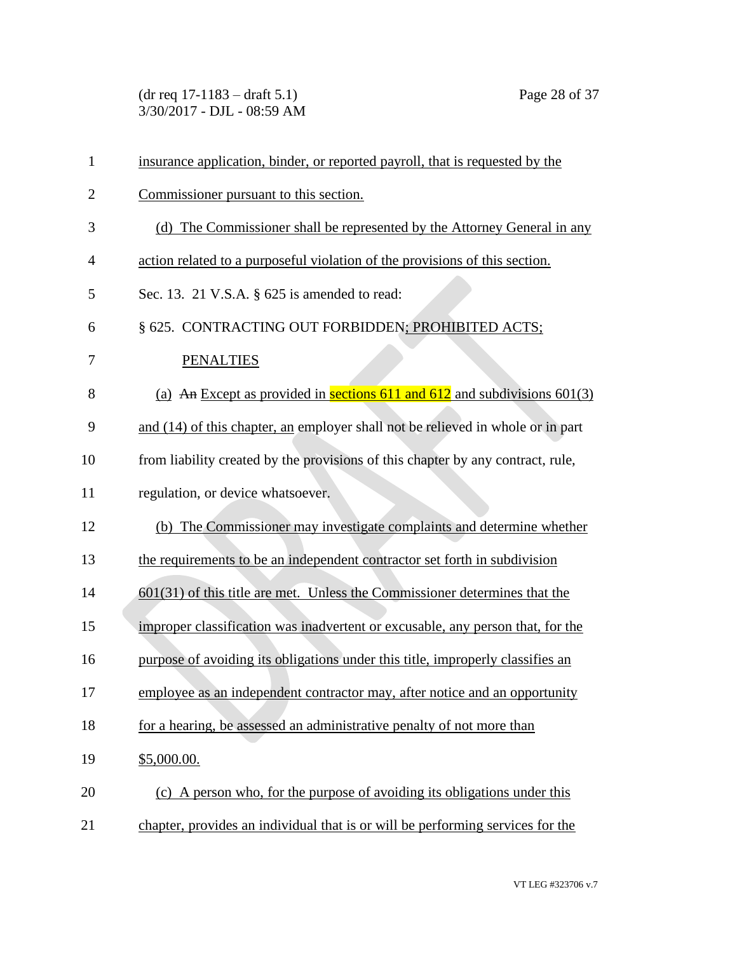(dr req 17-1183 – draft 5.1) Page 28 of 37 3/30/2017 - DJL - 08:59 AM

| $\mathbf{1}$   | insurance application, binder, or reported payroll, that is requested by the    |
|----------------|---------------------------------------------------------------------------------|
| $\overline{2}$ | Commissioner pursuant to this section.                                          |
| 3              | (d) The Commissioner shall be represented by the Attorney General in any        |
| 4              | action related to a purposeful violation of the provisions of this section.     |
| 5              | Sec. 13. 21 V.S.A. § 625 is amended to read:                                    |
| 6              | § 625. CONTRACTING OUT FORBIDDEN; PROHIBITED ACTS;                              |
| 7              | <b>PENALTIES</b>                                                                |
| 8              | (a) An Except as provided in sections 611 and 612 and subdivisions $601(3)$     |
| 9              | and (14) of this chapter, an employer shall not be relieved in whole or in part |
| 10             | from liability created by the provisions of this chapter by any contract, rule, |
| 11             | regulation, or device whatsoever.                                               |
| 12             | (b) The Commissioner may investigate complaints and determine whether           |
| 13             | the requirements to be an independent contractor set forth in subdivision       |
| 14             | $601(31)$ of this title are met. Unless the Commissioner determines that the    |
| 15             | improper classification was inadvertent or excusable, any person that, for the  |
| 16             | purpose of avoiding its obligations under this title, improperly classifies an  |
| 17             | employee as an independent contractor may, after notice and an opportunity      |
| 18             | for a hearing, be assessed an administrative penalty of not more than           |
| 19             | \$5,000.00.                                                                     |
| 20             | (c) A person who, for the purpose of avoiding its obligations under this        |
| 21             | chapter, provides an individual that is or will be performing services for the  |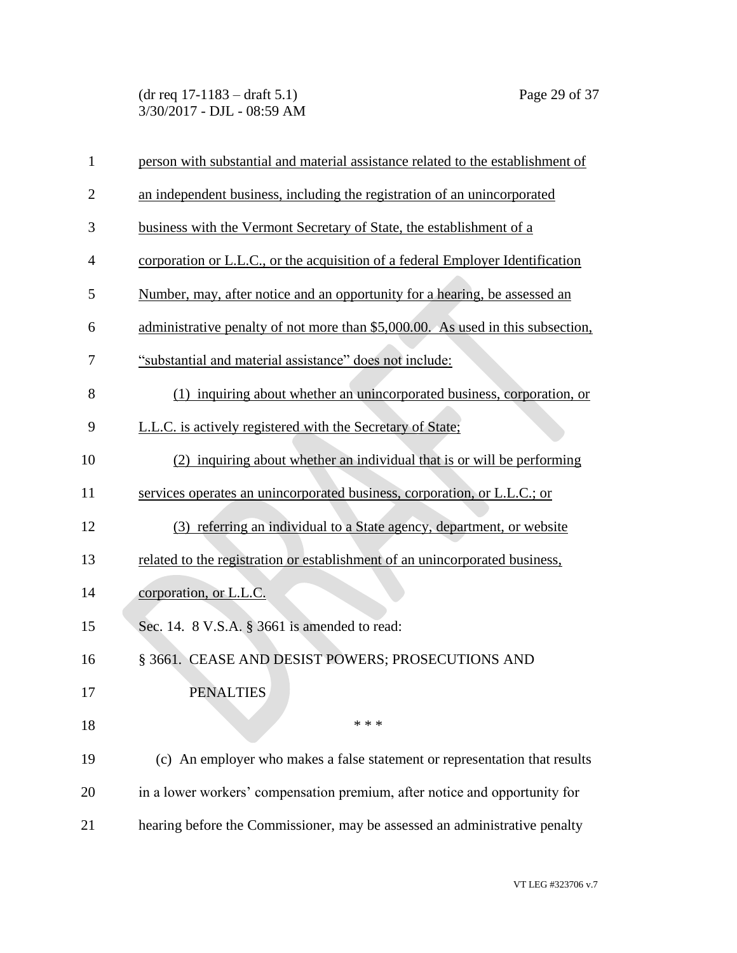(dr req 17-1183 – draft 5.1) Page 29 of 37 3/30/2017 - DJL - 08:59 AM

| $\mathbf{1}$   | person with substantial and material assistance related to the establishment of |
|----------------|---------------------------------------------------------------------------------|
| $\overline{2}$ | an independent business, including the registration of an unincorporated        |
| 3              | business with the Vermont Secretary of State, the establishment of a            |
| $\overline{4}$ | corporation or L.L.C., or the acquisition of a federal Employer Identification  |
| 5              | Number, may, after notice and an opportunity for a hearing, be assessed an      |
| 6              | administrative penalty of not more than \$5,000.00. As used in this subsection, |
| 7              | "substantial and material assistance" does not include:                         |
| 8              | (1) inquiring about whether an unincorporated business, corporation, or         |
| 9              | L.L.C. is actively registered with the Secretary of State;                      |
| 10             | (2) inquiring about whether an individual that is or will be performing         |
| 11             | services operates an unincorporated business, corporation, or L.L.C.; or        |
| 12             | (3) referring an individual to a State agency, department, or website           |
| 13             | related to the registration or establishment of an unincorporated business,     |
| 14             | corporation, or L.L.C.                                                          |
| 15             | Sec. 14. 8 V.S.A. § 3661 is amended to read:                                    |
| 16             | § 3661. CEASE AND DESIST POWERS; PROSECUTIONS AND                               |
| 17             | <b>PENALTIES</b>                                                                |
| 18             | * * *                                                                           |
| 19             | (c) An employer who makes a false statement or representation that results      |
| 20             | in a lower workers' compensation premium, after notice and opportunity for      |
| 21             | hearing before the Commissioner, may be assessed an administrative penalty      |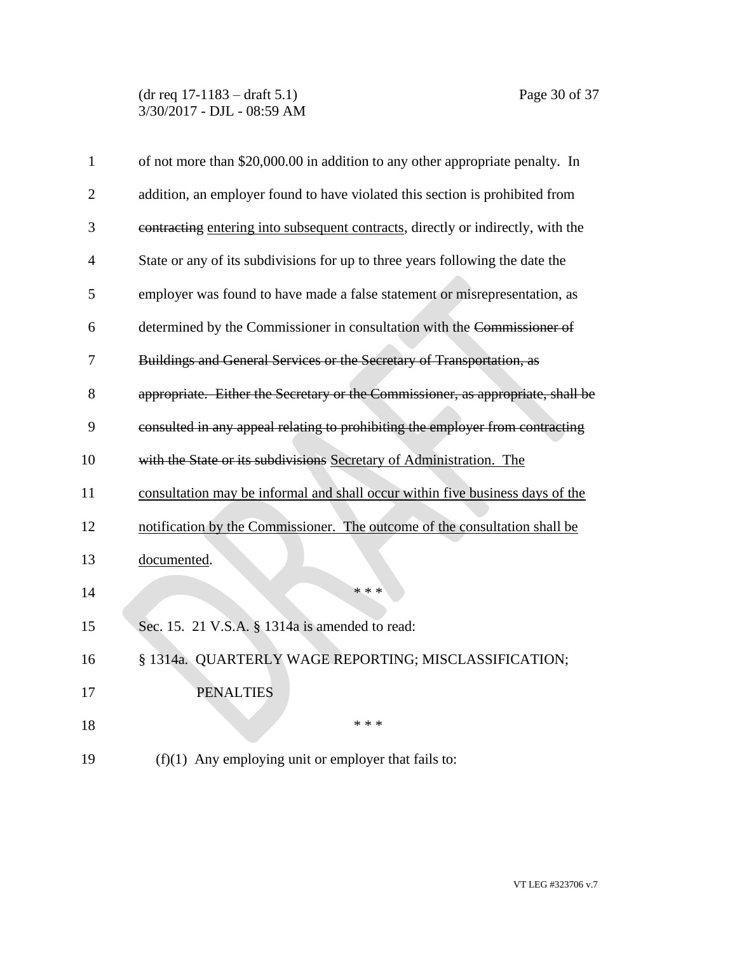(dr req 17-1183 – draft 5.1) Page 30 of 37 3/30/2017 - DJL - 08:59 AM

| $\mathbf{1}$   | of not more than \$20,000.00 in addition to any other appropriate penalty. In    |
|----------------|----------------------------------------------------------------------------------|
| $\overline{2}$ | addition, an employer found to have violated this section is prohibited from     |
| 3              | contracting entering into subsequent contracts, directly or indirectly, with the |
| 4              | State or any of its subdivisions for up to three years following the date the    |
| 5              | employer was found to have made a false statement or misrepresentation, as       |
| 6              | determined by the Commissioner in consultation with the Commissioner of          |
| 7              | Buildings and General Services or the Secretary of Transportation, as            |
| 8              | appropriate. Either the Secretary or the Commissioner, as appropriate, shall be  |
| 9              | consulted in any appeal relating to prohibiting the employer from contracting    |
| 10             | with the State or its subdivisions Secretary of Administration. The              |
| 11             | consultation may be informal and shall occur within five business days of the    |
| 12             | notification by the Commissioner. The outcome of the consultation shall be       |
| 13             | documented.                                                                      |
| 14             | * * *                                                                            |
| 15             | Sec. 15. 21 V.S.A. § 1314a is amended to read:                                   |
| 16             | § 1314a. QUARTERLY WAGE REPORTING; MISCLASSIFICATION;                            |
| 17             | <b>PENALTIES</b>                                                                 |
| 18             | * * *                                                                            |
| 19             | $(f)(1)$ Any employing unit or employer that fails to:                           |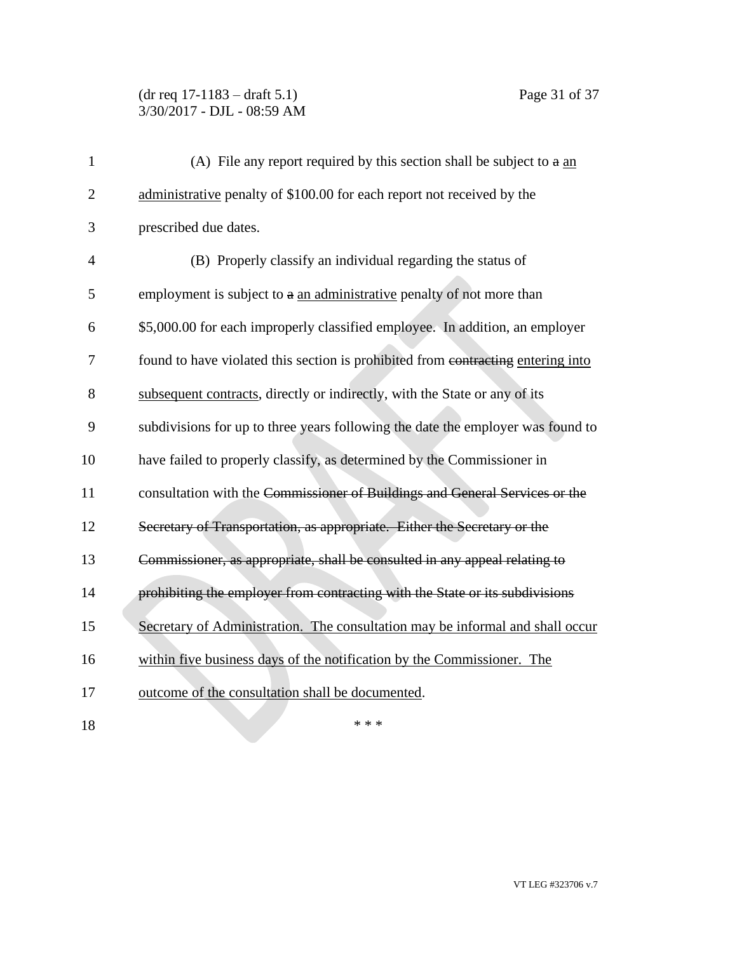# (dr req 17-1183 – draft 5.1) Page 31 of 37 3/30/2017 - DJL - 08:59 AM

| $\mathbf{1}$   | (A) File any report required by this section shall be subject to $a \underline{an}$ |
|----------------|-------------------------------------------------------------------------------------|
| $\overline{2}$ | administrative penalty of \$100.00 for each report not received by the              |
| 3              | prescribed due dates.                                                               |
| $\overline{4}$ | (B) Properly classify an individual regarding the status of                         |
| 5              | employment is subject to a an administrative penalty of not more than               |
| 6              | \$5,000.00 for each improperly classified employee. In addition, an employer        |
| 7              | found to have violated this section is prohibited from contracting entering into    |
| 8              | subsequent contracts, directly or indirectly, with the State or any of its          |
| 9              | subdivisions for up to three years following the date the employer was found to     |
| 10             | have failed to properly classify, as determined by the Commissioner in              |
| 11             | consultation with the Commissioner of Buildings and General Services or the         |
| 12             | Secretary of Transportation, as appropriate. Either the Secretary or the            |
| 13             | Commissioner, as appropriate, shall be consulted in any appeal relating to          |
| 14             | prohibiting the employer from contracting with the State or its subdivisions        |
| 15             | Secretary of Administration. The consultation may be informal and shall occur       |
| 16             | within five business days of the notification by the Commissioner. The              |
| 17             | outcome of the consultation shall be documented.                                    |
| 18             | * * *                                                                               |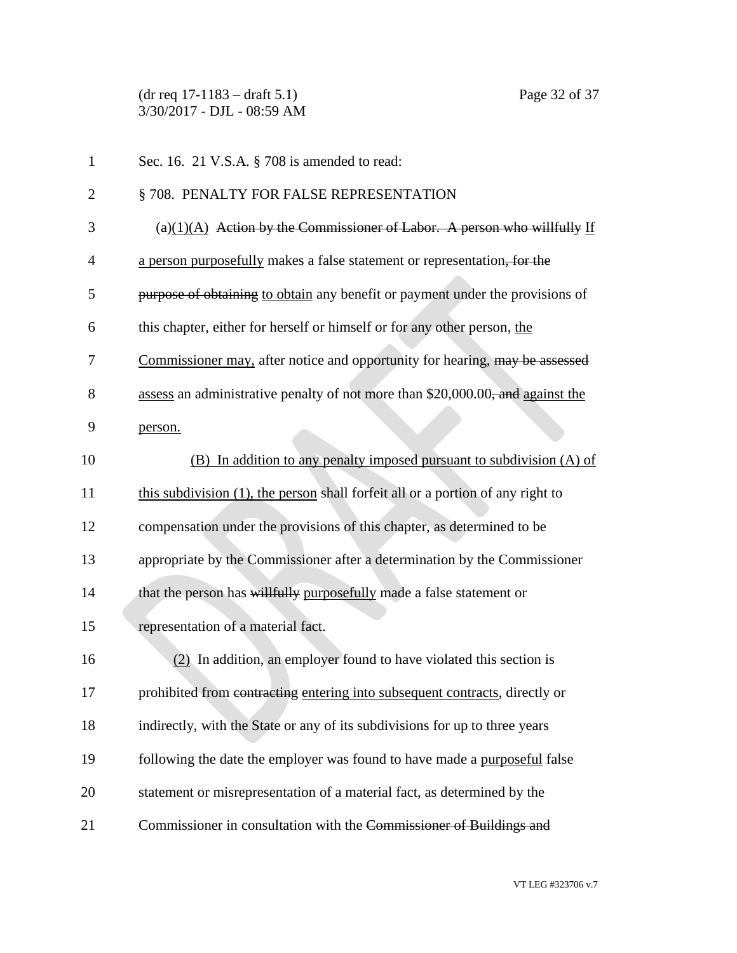(dr req 17-1183 – draft 5.1) Page 32 of 37 3/30/2017 - DJL - 08:59 AM

| $\mathbf{1}$   | Sec. 16. 21 V.S.A. § 708 is amended to read:                                    |
|----------------|---------------------------------------------------------------------------------|
| $\overline{2}$ | §708. PENALTY FOR FALSE REPRESENTATION                                          |
| 3              | (a) $(1)(A)$ Action by the Commissioner of Labor. A person who willfully If     |
| $\overline{4}$ | a person purposefully makes a false statement or representation, for the        |
| 5              | purpose of obtaining to obtain any benefit or payment under the provisions of   |
| 6              | this chapter, either for herself or himself or for any other person, the        |
| 7              | Commissioner may, after notice and opportunity for hearing, may be assessed     |
| 8              | assess an administrative penalty of not more than \$20,000.00, and against the  |
| 9              | person.                                                                         |
| 10             | (B) In addition to any penalty imposed pursuant to subdivision (A) of           |
| 11             | this subdivision (1), the person shall forfeit all or a portion of any right to |
| 12             | compensation under the provisions of this chapter, as determined to be          |
| 13             | appropriate by the Commissioner after a determination by the Commissioner       |
| 14             | that the person has willfully purposefully made a false statement or            |
| 15             | representation of a material fact.                                              |
| 16             | (2) In addition, an employer found to have violated this section is             |
| 17             | prohibited from contracting entering into subsequent contracts, directly or     |
| 18             | indirectly, with the State or any of its subdivisions for up to three years     |
| 19             | following the date the employer was found to have made a purposeful false       |
| 20             | statement or misrepresentation of a material fact, as determined by the         |
| 21             | Commissioner in consultation with the Commissioner of Buildings and             |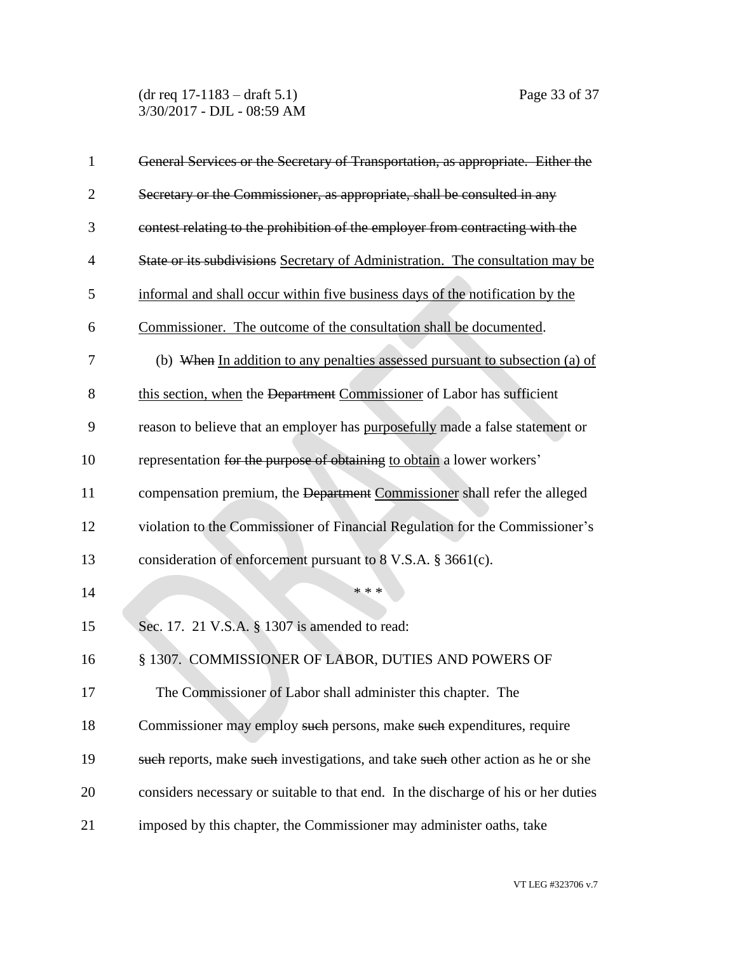(dr req 17-1183 – draft 5.1) Page 33 of 37 3/30/2017 - DJL - 08:59 AM

| 1              | General Services or the Secretary of Transportation, as appropriate. Either the    |
|----------------|------------------------------------------------------------------------------------|
| $\overline{2}$ | Secretary or the Commissioner, as appropriate, shall be consulted in any           |
| 3              | contest relating to the prohibition of the employer from contracting with the      |
| $\overline{4}$ | State or its subdivisions Secretary of Administration. The consultation may be     |
| 5              | informal and shall occur within five business days of the notification by the      |
| 6              | Commissioner. The outcome of the consultation shall be documented.                 |
| 7              | (b) When In addition to any penalties assessed pursuant to subsection (a) of       |
| 8              | this section, when the Department Commissioner of Labor has sufficient             |
| 9              | reason to believe that an employer has purposefully made a false statement or      |
| 10             | representation for the purpose of obtaining to obtain a lower workers'             |
| 11             | compensation premium, the Department Commissioner shall refer the alleged          |
| 12             | violation to the Commissioner of Financial Regulation for the Commissioner's       |
| 13             | consideration of enforcement pursuant to 8 V.S.A. § 3661(c).                       |
| 14             | * * *                                                                              |
| 15             | Sec. 17. 21 V.S.A. § 1307 is amended to read:                                      |
| 16             | § 1307. COMMISSIONER OF LABOR, DUTIES AND POWERS OF                                |
| 17             | The Commissioner of Labor shall administer this chapter. The                       |
| 18             | Commissioner may employ such persons, make such expenditures, require              |
| 19             | such reports, make such investigations, and take such other action as he or she    |
| 20             | considers necessary or suitable to that end. In the discharge of his or her duties |
| 21             | imposed by this chapter, the Commissioner may administer oaths, take               |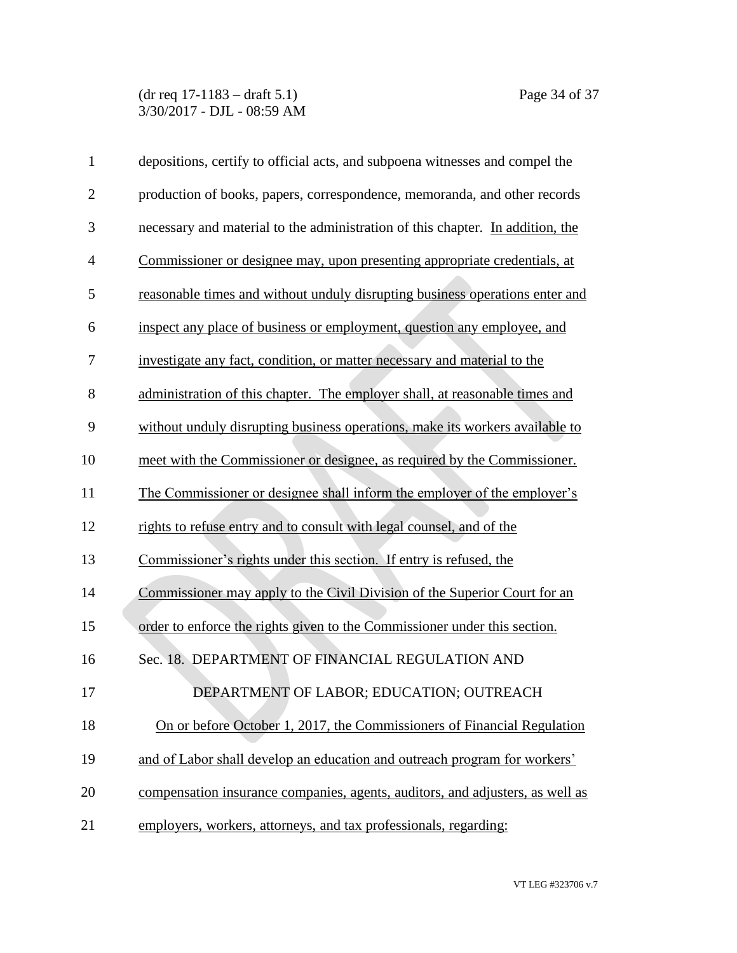(dr req 17-1183 – draft 5.1) Page 34 of 37 3/30/2017 - DJL - 08:59 AM

| $\mathbf{1}$   | depositions, certify to official acts, and subpoena witnesses and compel the   |
|----------------|--------------------------------------------------------------------------------|
| $\overline{2}$ | production of books, papers, correspondence, memoranda, and other records      |
| 3              | necessary and material to the administration of this chapter. In addition, the |
| 4              | Commissioner or designee may, upon presenting appropriate credentials, at      |
| 5              | reasonable times and without unduly disrupting business operations enter and   |
| 6              | inspect any place of business or employment, question any employee, and        |
| 7              | investigate any fact, condition, or matter necessary and material to the       |
| 8              | administration of this chapter. The employer shall, at reasonable times and    |
| 9              | without unduly disrupting business operations, make its workers available to   |
| 10             | meet with the Commissioner or designee, as required by the Commissioner.       |
| 11             | The Commissioner or designee shall inform the employer of the employer's       |
| 12             | rights to refuse entry and to consult with legal counsel, and of the           |
| 13             | Commissioner's rights under this section. If entry is refused, the             |
| 14             | Commissioner may apply to the Civil Division of the Superior Court for an      |
| 15             | order to enforce the rights given to the Commissioner under this section.      |
| 16             | Sec. 18. DEPARTMENT OF FINANCIAL REGULATION AND                                |
| 17             | DEPARTMENT OF LABOR; EDUCATION; OUTREACH                                       |
| 18             | On or before October 1, 2017, the Commissioners of Financial Regulation        |
| 19             | and of Labor shall develop an education and outreach program for workers'      |
| 20             | compensation insurance companies, agents, auditors, and adjusters, as well as  |
| 21             | employers, workers, attorneys, and tax professionals, regarding:               |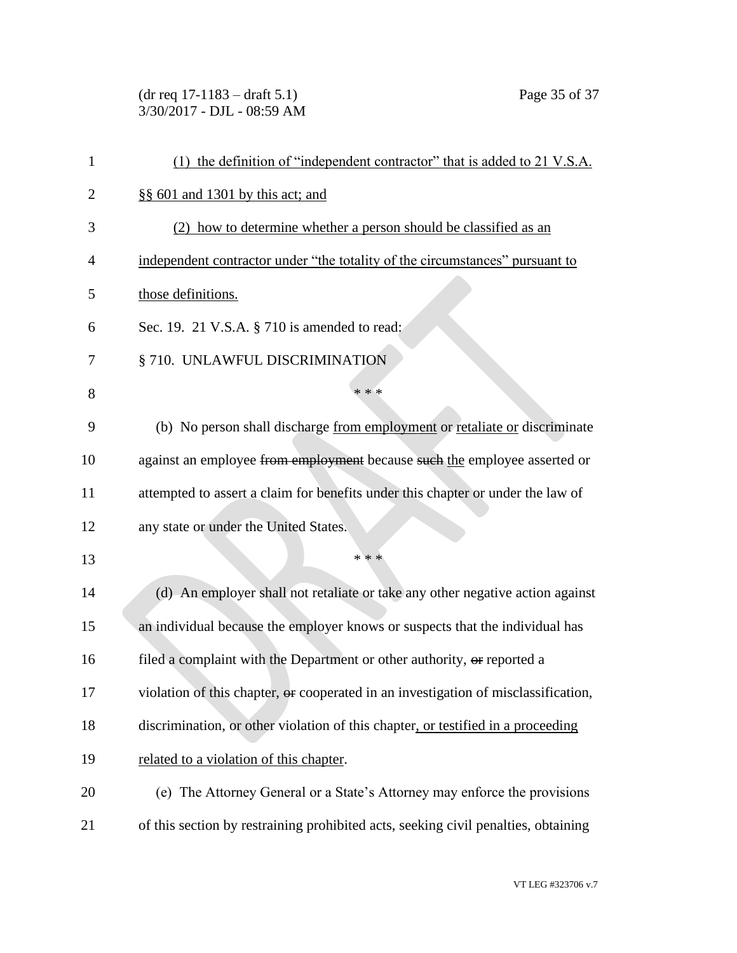(dr req 17-1183 – draft 5.1) Page 35 of 37 3/30/2017 - DJL - 08:59 AM

| 1              | (1) the definition of "independent contractor" that is added to 21 V.S.A.          |
|----------------|------------------------------------------------------------------------------------|
| $\overline{2}$ | §§ 601 and 1301 by this act; and                                                   |
| 3              | (2) how to determine whether a person should be classified as an                   |
| 4              | independent contractor under "the totality of the circumstances" pursuant to       |
| 5              | those definitions.                                                                 |
| 6              | Sec. 19. 21 V.S.A. § 710 is amended to read:                                       |
| 7              | § 710. UNLAWFUL DISCRIMINATION                                                     |
| 8              | * * *                                                                              |
| 9              | (b) No person shall discharge from employment or retaliate or discriminate         |
| 10             | against an employee from employment because such the employee asserted or          |
| 11             | attempted to assert a claim for benefits under this chapter or under the law of    |
| 12             | any state or under the United States.                                              |
| 13             | * * *                                                                              |
| 14             | (d) An employer shall not retaliate or take any other negative action against      |
| 15             | an individual because the employer knows or suspects that the individual has       |
| 16             | filed a complaint with the Department or other authority, or reported a            |
| 17             | violation of this chapter, or cooperated in an investigation of misclassification, |
| 18             | discrimination, or other violation of this chapter, or testified in a proceeding   |
| 19             | related to a violation of this chapter.                                            |
| 20             | (e) The Attorney General or a State's Attorney may enforce the provisions          |
| 21             | of this section by restraining prohibited acts, seeking civil penalties, obtaining |
|                |                                                                                    |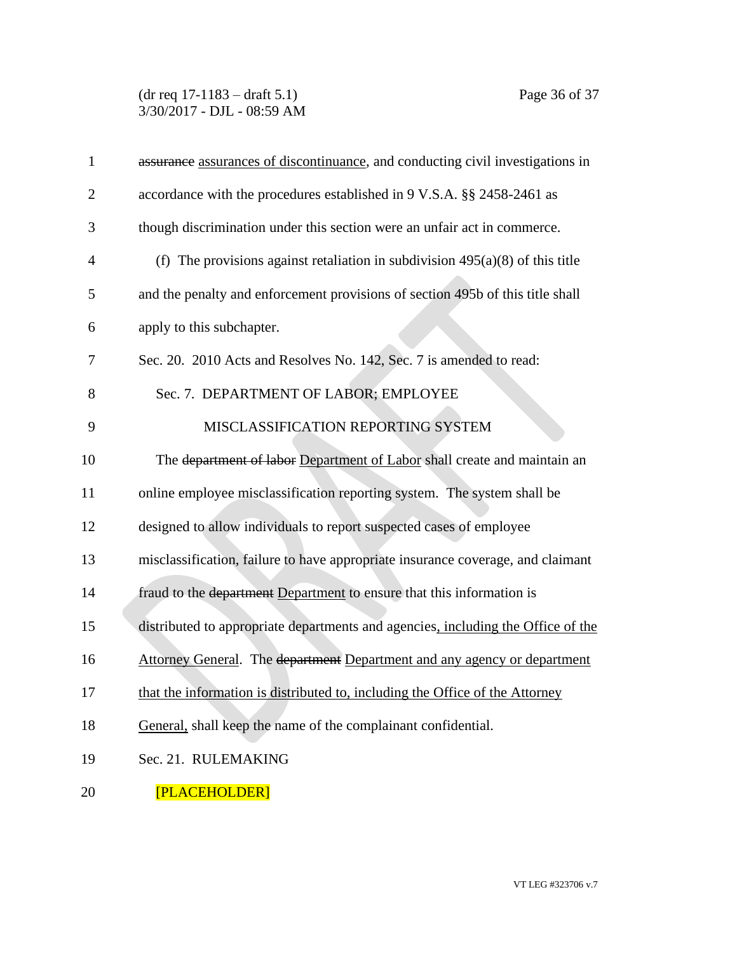(dr req 17-1183 – draft 5.1) Page 36 of 37 3/30/2017 - DJL - 08:59 AM

| $\mathbf{1}$   | assurance assurances of discontinuance, and conducting civil investigations in   |
|----------------|----------------------------------------------------------------------------------|
| $\overline{2}$ | accordance with the procedures established in 9 V.S.A. §§ 2458-2461 as           |
| 3              | though discrimination under this section were an unfair act in commerce.         |
| $\overline{4}$ | (f) The provisions against retaliation in subdivision $495(a)(8)$ of this title  |
| 5              | and the penalty and enforcement provisions of section 495b of this title shall   |
| 6              | apply to this subchapter.                                                        |
| 7              | Sec. 20. 2010 Acts and Resolves No. 142, Sec. 7 is amended to read:              |
| 8              | Sec. 7. DEPARTMENT OF LABOR; EMPLOYEE                                            |
| 9              | MISCLASSIFICATION REPORTING SYSTEM                                               |
| 10             | The department of labor Department of Labor shall create and maintain an         |
| 11             | online employee misclassification reporting system. The system shall be          |
| 12             | designed to allow individuals to report suspected cases of employee              |
| 13             | misclassification, failure to have appropriate insurance coverage, and claimant  |
| 14             | fraud to the department Department to ensure that this information is            |
| 15             | distributed to appropriate departments and agencies, including the Office of the |
| 16             | Attorney General. The department Department and any agency or department         |
| 17             | that the information is distributed to, including the Office of the Attorney     |
| 18             | General, shall keep the name of the complainant confidential.                    |
| 19             | Sec. 21. RULEMAKING                                                              |
| 20             | [PLACEHOLDER]                                                                    |